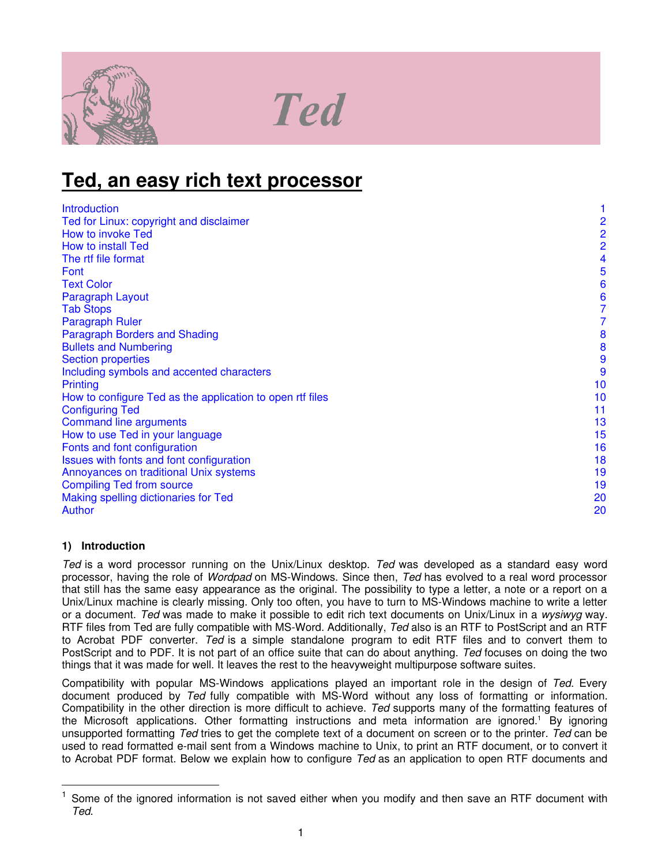

# **Ted**

# **Ted, an easy rich text processor**

| <b>Introduction</b>                                       |                |
|-----------------------------------------------------------|----------------|
| Ted for Linux: copyright and disclaimer                   | $\overline{c}$ |
| How to invoke Ted                                         | $\overline{2}$ |
| How to install Ted                                        | $\overline{2}$ |
| The rtf file format                                       | 4              |
| Font                                                      | 5              |
| <b>Text Color</b>                                         | 6              |
| Paragraph Layout                                          | 6              |
| <b>Tab Stops</b>                                          | 7              |
| <b>Paragraph Ruler</b>                                    | 7              |
| <b>Paragraph Borders and Shading</b>                      | 8              |
| <b>Bullets and Numbering</b>                              | 8              |
| <b>Section properties</b>                                 | 9              |
| Including symbols and accented characters                 | 9              |
| Printing                                                  | 10             |
| How to configure Ted as the application to open rtf files | 10             |
| <b>Configuring Ted</b>                                    | 11             |
| <b>Command line arguments</b>                             | 13             |
| How to use Ted in your language                           | 15             |
| Fonts and font configuration                              | 16             |
| Issues with fonts and font configuration                  | 18             |
| Annoyances on traditional Unix systems                    | 19             |
| <b>Compiling Ted from source</b>                          | 19             |
| Making spelling dictionaries for Ted                      | 20             |
| Author                                                    | 20             |

# **1) Introduction**

*Ted* is a word processor running on the Unix/Linux desktop. *Ted* was developed as a standard easy word processor, having the role of *Wordpad* on MS-Windows. Since then, *Ted* has evolved to a real word processor that still has the same easy appearance as the original. The possibility to type a letter, a note or a report on a Unix/Linux machine is clearly missing. Only too often, you have to turn to MS-Windows machine to write a letter or a document. *Ted* was made to make it possible to edit rich text documents on Unix/Linux in a *wysiwyg* way. RTF files from Ted are fully compatible with MS-Word. Additionally, *Ted* also is an RTF to PostScript and an RTF to Acrobat PDF converter. *Ted* is a simple standalone program to edit RTF files and to convert them to PostScript and to PDF. It is not part of an office suite that can do about anything. *Ted* focuses on doing the two things that it was made for well. It leaves the rest to the heavyweight multipurpose software suites.

Compatibility with popular MS-Windows applications played an important role in the design of *Ted*. Every document produced by *Ted* fully compatible with MS-Word without any loss of formatting or information. Compatibility in the other direction is more difficult to achieve. *Ted* supports many of the formatting features of the Microsoft applications. Other formatting instructions and meta information are ignored.<sup>1</sup> By ignoring unsupported formatting *Ted* tries to get the complete text of a document on screen or to the printer. *Ted* can be used to read formatted e-mail sent from a Windows machine to Unix, to print an RTF document, or to convert it to Acrobat PDF format. Below we explain how to configure *Ted* as an application to open RTF documents and

 $1$  Some of the ignored information is not saved either when you modify and then save an RTF document with *Ted*.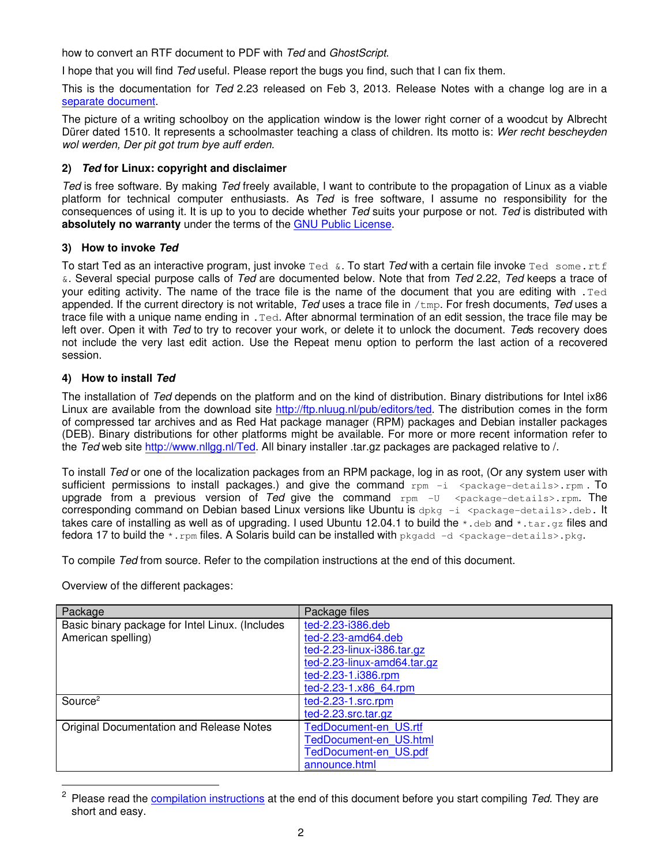<span id="page-1-0"></span>how to convert an RTF document to PDF with *Ted* and *GhostScript*.

I hope that you will find *Ted* useful. Please report the bugs you find, such that I can fix them.

This is the documentation for *Ted* 2.23 released on Feb 3, 2013. Release Notes with a change log are in a separate document.

The picture of a writing schoolboy on the application window is the lower right corner of a woodcut by Albrecht Dürer dated 1510. It represents a schoolmaster teaching a class of children. Its motto is: *Wer recht bescheyden wol werden, Der pit got trum bye auff erden.*

# **2)** *Ted* **for Linux: copyright and disclaimer**

*Ted* is free software. By making *Ted* freely available, I want to contribute to the propagation of Linux as a viable platform for technical computer enthusiasts. As *Ted* is free software, I assume no responsibility for the consequences of using it. It is up to you to decide whether *Ted* suits your purpose or not. *Ted* is distributed with **absolutely no warranty** under the terms of the GNU Public [License](http://www.fsf.org/copyleft/gpl.html).

#### **3) How to invoke** *Ted*

To start Ted as an interactive program, just invoke Ted &. To start *Ted* with a certain file invoke Ted some.rtf &. Several special purpose calls of *Ted* are documented below. Note that from *Ted* 2.22, *Ted* keeps a trace of your editing activity. The name of the trace file is the name of the document that you are editing with .Ted appended. If the current directory is not writable, *Ted* uses a trace file in /tmp. For fresh documents, *Ted* uses a trace file with a unique name ending in .Ted. After abnormal termination of an edit session, the trace file may be left over. Open it with *Ted* to try to recover your work, or delete it to unlock the document. *Ted*s recovery does not include the very last edit action. Use the Repeat menu option to perform the last action of a recovered session.

# **4) How to install** *Ted*

The installation of *Ted* depends on the platform and on the kind of distribution. Binary distributions for Intel ix86 Linux are available from the download site <http://ftp.nluug.nl/pub/editors/ted>. The distribution comes in the form of compressed tar archives and as Red Hat package manager (RPM) packages and Debian installer packages (DEB). Binary distributions for other platforms might be available. For more or more recent information refer to the *Ted* web site <http://www.nllgg.nl/Ted>. All binary installer .tar.gz packages are packaged relative to /.

To install *Ted* or one of the localization packages from an RPM package, log in as root, (Or any system user with sufficient permissions to install packages.) and give the command  $rpm = 4$   $q = 4$   $q = 4$ upgrade from a previous version of *Ted* give the command rpm -U <package-details>.rpm. The corresponding command on Debian based Linux versions like Ubuntu is  $dpkq -i$  <package-details>.deb. It takes care of installing as well as of upgrading. I used Ubuntu 12.04.1 to build the  $*$ . deb and  $*$ . tar.gz files and fedora 17 to build the  $\star$ . rpm files. A Solaris build can be installed with pkgadd  $-d$  <package-details>.pkg.

To compile *Ted* from source. Refer to the compilation instructions at the end of this document.

Overview of the different packages:

| Package                                         | Package files                 |
|-------------------------------------------------|-------------------------------|
| Basic binary package for Intel Linux. (Includes | ted-2.23-i386.deb             |
| American spelling)                              | ted-2.23-amd64.deb            |
|                                                 | ted-2.23-linux-i386.tar.gz    |
|                                                 | ted-2.23-linux-amd64.tar.gz   |
|                                                 | ted-2.23-1.i386.rpm           |
|                                                 | ted-2.23-1.x86 64.rpm         |
| Source <sup>2</sup>                             | ted-2.23-1.src.rpm            |
|                                                 | $ted-2.23.src.tar.gz$         |
| Original Documentation and Release Notes        | TedDocument-en US.rtf         |
|                                                 | <b>TedDocument-en US.html</b> |
|                                                 | <b>TedDocument-en US.pdf</b>  |
|                                                 | announce.html                 |

<sup>2</sup> Please read the [compilation instructions](#page-18-0) at the end of this document before you start compiling *Ted*. They are short and easy.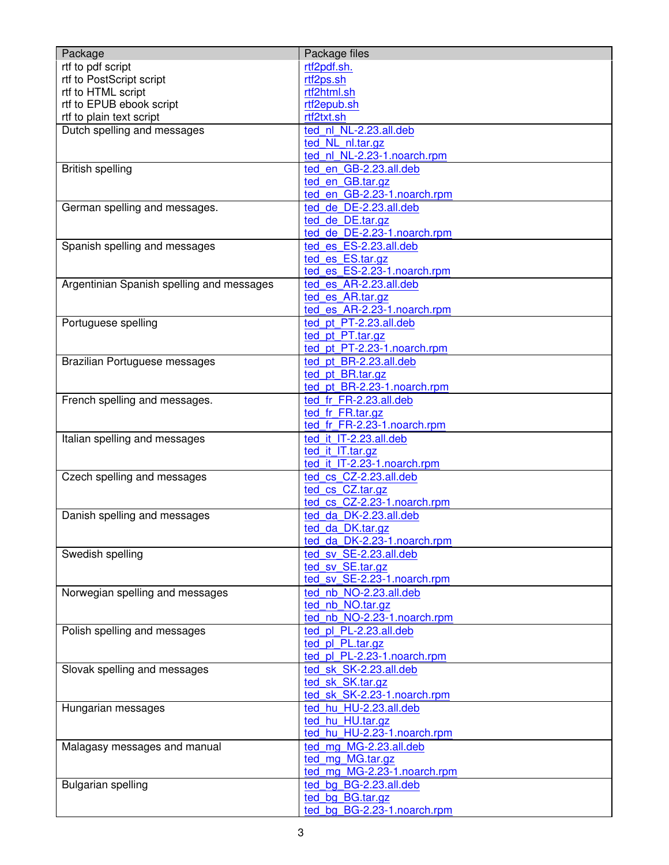| Package                                   | Package files                                   |
|-------------------------------------------|-------------------------------------------------|
| rtf to pdf script                         | rtf2pdf.sh.                                     |
| rtf to PostScript script                  | rtf2ps.sh                                       |
| rtf to HTML script                        | rtf2html.sh                                     |
| rtf to EPUB ebook script                  | rtf2epub.sh                                     |
| rtf to plain text script                  | rtf2txt.sh                                      |
| Dutch spelling and messages               | ted nl NL-2.23.all.deb                          |
|                                           | ted NL nl.tar.gz                                |
|                                           | ted nl NL-2.23-1.noarch.rpm                     |
| <b>British spelling</b>                   | ted_en_GB-2.23.all.deb                          |
|                                           | ted en GB.tar.gz                                |
|                                           | ted_en_GB-2.23-1.noarch.rpm                     |
| German spelling and messages.             | ted de DE-2.23.all.deb                          |
|                                           | ted de DE.tar.gz                                |
|                                           | ted_de_DE-2.23-1.noarch.rpm                     |
| Spanish spelling and messages             | ted es ES-2.23.all.deb                          |
|                                           | ted es ES.tar.gz                                |
|                                           | ted es_ES-2.23-1.noarch.rpm                     |
| Argentinian Spanish spelling and messages | ted es AR-2.23.all.deb                          |
|                                           | ted es AR.tar.gz<br>ted es AR-2.23-1.noarch.rpm |
|                                           | ted pt PT-2.23.all.deb                          |
| Portuguese spelling                       | ted pt PT.tar.gz                                |
|                                           | ted pt PT-2.23-1.noarch.rpm                     |
| Brazilian Portuguese messages             | ted pt BR-2.23.all.deb                          |
|                                           | ted pt BR.tar.gz                                |
|                                           | ted_pt_BR-2.23-1.noarch.rpm                     |
| French spelling and messages.             | ted fr FR-2.23.all.deb                          |
|                                           | ted fr FR.tar.gz                                |
|                                           | ted fr FR-2.23-1.noarch.rpm                     |
| Italian spelling and messages             | ted it IT-2.23.all.deb                          |
|                                           | ted it IT.tar.gz                                |
|                                           | ted_it_IT-2.23-1.noarch.rpm                     |
| Czech spelling and messages               | ted cs CZ-2.23.all.deb                          |
|                                           | ted cs CZ.tar.gz                                |
|                                           | ted_cs_CZ-2.23-1.noarch.rpm                     |
| Danish spelling and messages              | ted da DK-2.23.all.deb                          |
|                                           | ted da DK.tar.gz                                |
|                                           | ted_da_DK-2.23-1.noarch.rpm                     |
| Swedish spelling                          | ted sv SE-2.23.all.deb                          |
|                                           | ted sv SE.tar.gz                                |
|                                           | ted_sv_SE-2.23-1.noarch.rpm                     |
| Norwegian spelling and messages           | ted nb NO-2.23.all.deb                          |
|                                           | ted nb NO.tar.gz                                |
|                                           | ted_nb_NO-2.23-1.noarch.rpm                     |
| Polish spelling and messages              | ted_pl_PL-2.23.all.deb                          |
|                                           | ted pl PL.tar.gz                                |
|                                           | ted_pl_PL-2.23-1.noarch.rpm                     |
| Slovak spelling and messages              | ted sk SK-2.23.all.deb                          |
|                                           | ted sk SK.tar.gz<br>ted_sk_SK-2.23-1.noarch.rpm |
|                                           | ted hu HU-2.23.all.deb                          |
| Hungarian messages                        | ted hu HU.tar.gz                                |
|                                           | ted_hu_HU-2.23-1.noarch.rpm                     |
| Malagasy messages and manual              | ted mg MG-2.23.all.deb                          |
|                                           | ted mg MG.tar.gz                                |
|                                           | ted_mg_MG-2.23-1.noarch.rpm                     |
| <b>Bulgarian spelling</b>                 | ted bg BG-2.23.all.deb                          |
|                                           | ted bg BG.tar.gz                                |
|                                           | ted_bg_BG-2.23-1.noarch.rpm                     |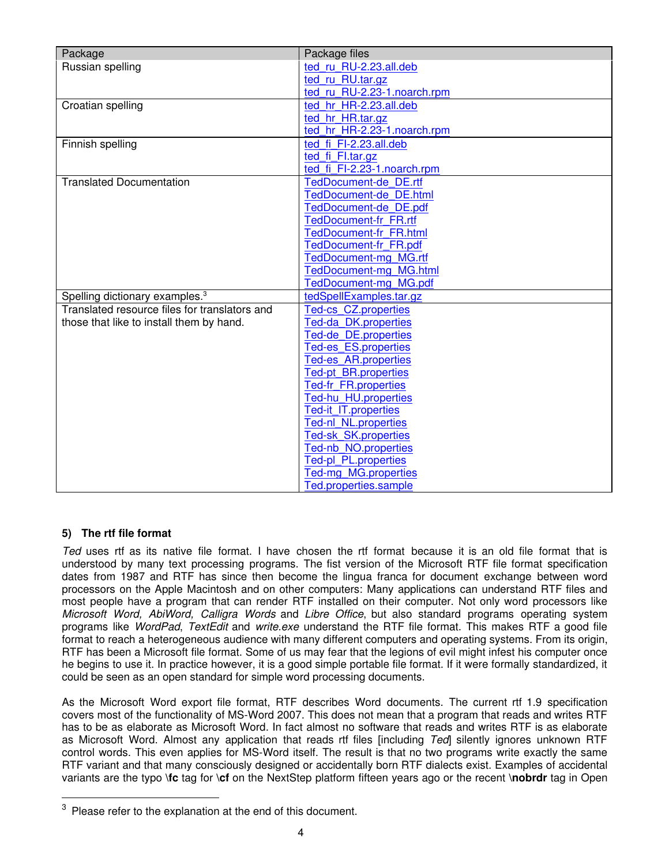<span id="page-3-0"></span>

| Package                                       | Package files                                         |
|-----------------------------------------------|-------------------------------------------------------|
| Russian spelling                              | ted ru RU-2.23.all.deb                                |
|                                               | ted_ru_RU.tar.gz                                      |
|                                               | ted_ru_RU-2.23-1.noarch.rpm                           |
| Croatian spelling                             | ted hr HR-2.23.all.deb                                |
|                                               | ted_hr_HR.tar.gz                                      |
|                                               | ted hr HR-2.23-1.noarch.rpm                           |
| Finnish spelling                              | ted fi FI-2.23.all.deb                                |
|                                               | ted_fi_Fl.tar.gz                                      |
|                                               | ted_fi_FI-2.23-1.noarch.rpm                           |
| <b>Translated Documentation</b>               | TedDocument-de DE.rtf                                 |
|                                               | <b>TedDocument-de DE.html</b>                         |
|                                               | TedDocument-de DE.pdf<br><b>TedDocument-fr FR.rtf</b> |
|                                               | <b>TedDocument-fr FR.html</b>                         |
|                                               | TedDocument-fr FR.pdf                                 |
|                                               | <b>TedDocument-mg MG.rtf</b>                          |
|                                               | <b>TedDocument-mg MG.html</b>                         |
|                                               | <b>TedDocument-mg MG.pdf</b>                          |
| Spelling dictionary examples. <sup>3</sup>    | tedSpellExamples.tar.gz                               |
| Translated resource files for translators and | <b>Ted-cs CZ.properties</b>                           |
| those that like to install them by hand.      | Ted-da DK.properties                                  |
|                                               | Ted-de DE.properties                                  |
|                                               | Ted-es_ES.properties                                  |
|                                               | <b>Ted-es AR.properties</b>                           |
|                                               | <b>Ted-pt BR.properties</b>                           |
|                                               | Ted-fr_FR.properties                                  |
|                                               | Ted-hu HU.properties                                  |
|                                               | Ted-it IT.properties                                  |
|                                               | Ted-nl_NL.properties                                  |
|                                               | Ted-sk SK.properties<br>Ted-nb NO.properties          |
|                                               | Ted-pl_PL.properties                                  |
|                                               | Ted-mg_MG.properties                                  |
|                                               | Ted.properties.sample                                 |

# **5) The rtf file format**

*Ted* uses rtf as its native file format. I have chosen the rtf format because it is an old file format that is understood by many text processing programs. The fist version of the Microsoft RTF file format specification dates from 1987 and RTF has since then become the lingua franca for document exchange between word processors on the Apple Macintosh and on other computers: Many applications can understand RTF files and most people have a program that can render RTF installed on their computer. Not only word processors like *Microsoft Word, AbiWord, Calligra Words* and *Libre Office*, but also standard programs operating system programs like *WordPad*, *TextEdit* and *write.exe* understand the RTF file format. This makes RTF a good file format to reach a heterogeneous audience with many different computers and operating systems. From its origin, RTF has been a Microsoft file format. Some of us may fear that the legions of evil might infest his computer once he begins to use it. In practice however, it is a good simple portable file format. If it were formally standardized, it could be seen as an open standard for simple word processing documents.

As the Microsoft Word export file format, RTF describes Word documents. The current rtf 1.9 specification covers most of the functionality of MS-Word 2007. This does not mean that a program that reads and writes RTF has to be as elaborate as Microsoft Word. In fact almost no software that reads and writes RTF is as elaborate as Microsoft Word. Almost any application that reads rtf files [including *Ted*] silently ignores unknown RTF control words. This even applies for MS-Word itself. The result is that no two programs write exactly the same RTF variant and that many consciously designed or accidentally born RTF dialects exist. Examples of accidental variants are the typo **\fc** tag for **\cf** on the NextStep platform fifteen years ago or the recent **\nobrdr** tag in Open

 $3$  Please refer to the explanation at the end of this document.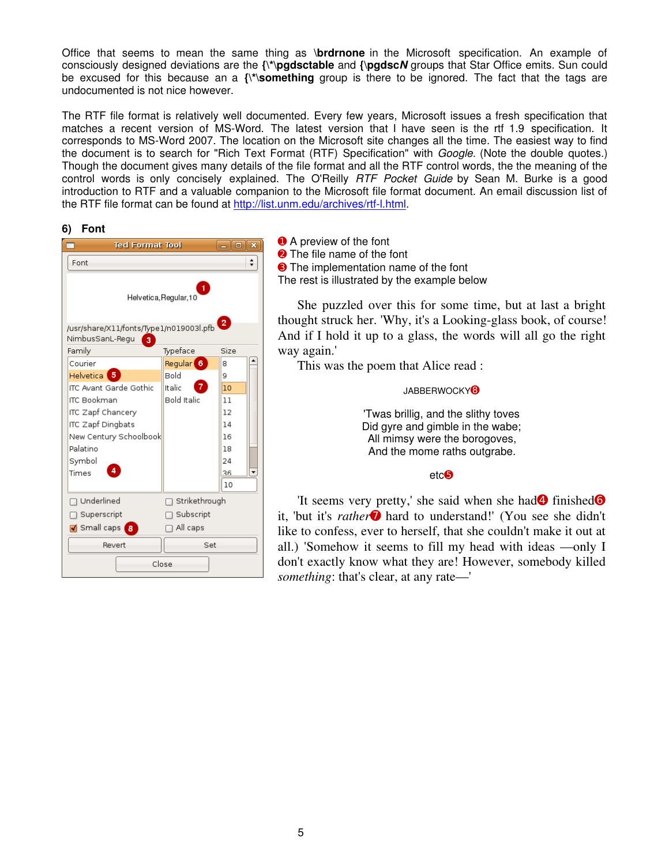<span id="page-4-0"></span>Office that seems to mean the same thing as **\brdrnone** in the Microsoft specification. An example of consciously designed deviations are the **{\\*\pgdsctable** and **{\pgdsc***N* groups that Star Office emits. Sun could be excused for this because an a **{\\*\something** group is there to be ignored. The fact that the tags are undocumented is not nice however.

The RTF file format is relatively well documented. Every few years, Microsoft issues a fresh specification that matches a recent version of MS-Word. The latest version that I have seen is the rtf 1.9 specification. It corresponds to MS-Word 2007. The location on the Microsoft site changes all the time. The easiest way to find the document is to search for "Rich Text Format (RTF) Specification" with *Google*. (Note the double quotes.) Though the document gives many details of the file format and all the RTF control words, the the meaning of the control words is only concisely explained. The O'Reilly *RTF Pocket Guide* by Sean M. Burke is a good introduction to RTF and a valuable companion to the Microsoft file format document. An email discussion list of the RTF file format can be found at [http://list.unm.edu/archives/rtf-l.html.](http://list.unm.edu/archives/rtf-l.html)

**6) Font**

| <b>Ted Format Tool</b>                                                                    |                      |      |  |  |  |  |  |
|-------------------------------------------------------------------------------------------|----------------------|------|--|--|--|--|--|
| Font                                                                                      |                      |      |  |  |  |  |  |
| 1.<br>Helvetica, Regular, 10<br>$\overline{2}$<br>/usr/share/X11/fonts/Type1/n019003l.pfb |                      |      |  |  |  |  |  |
| NimbusSanL-Regu<br>3<br>Family                                                            | Typeface             | Size |  |  |  |  |  |
| Courier                                                                                   | Regular <sup>6</sup> | 8    |  |  |  |  |  |
| Helvetica <sup>5</sup>                                                                    | Bold                 | 9    |  |  |  |  |  |
| ITC Avant Garde Gothic                                                                    | Italic               | 10   |  |  |  |  |  |
| <b>ITC Bookman</b>                                                                        | <b>Bold Italic</b>   | 11   |  |  |  |  |  |
| ITC Zapf Chancery                                                                         |                      | 12   |  |  |  |  |  |
| ITC Zapf Dingbats                                                                         |                      | 14   |  |  |  |  |  |
| New Century Schoolbook                                                                    |                      | 16   |  |  |  |  |  |
| Palatino                                                                                  |                      | 18   |  |  |  |  |  |
| Symbol                                                                                    |                      | 24   |  |  |  |  |  |
| 4<br>Times                                                                                |                      | 36   |  |  |  |  |  |
|                                                                                           |                      | 10   |  |  |  |  |  |
| Underlined                                                                                | Strikethrough<br>□   |      |  |  |  |  |  |
| Superscript                                                                               | Subscript            |      |  |  |  |  |  |
| M Small caps<br><b>Β</b>                                                                  | $\Box$ All caps      |      |  |  |  |  |  |
| Revert                                                                                    | Set                  |      |  |  |  |  |  |
| Close                                                                                     |                      |      |  |  |  |  |  |

**O** A preview of the font **■** The file name of the font ➌ The implementation name of the font The rest is illustrated by the example below

She puzzled over this for some time, but at last a bright thought struck her. 'Why, it's a Looking-glass book, of course! And if I hold it up to a glass, the words will all go the right way again.'

This was the poem that Alice read :

JABBERWOCKY<sup>®</sup>

'Twas brillig, and the slithy toves Did gyre and gimble in the wabe; All mimsy were the borogoves, And the mome raths outgrabe.

#### etc➎

'It seems very pretty,' she said when she had<sup>4</sup> finished<sup>6</sup> it, 'but it's *rather* hard to understand!' (You see she didn't like to confess, ever to herself, that she couldn't make it out at all.) 'Somehow it seems to fill my head with ideas —only I don't exactly know what they are! However, somebody killed *something*: that's clear, at any rate—'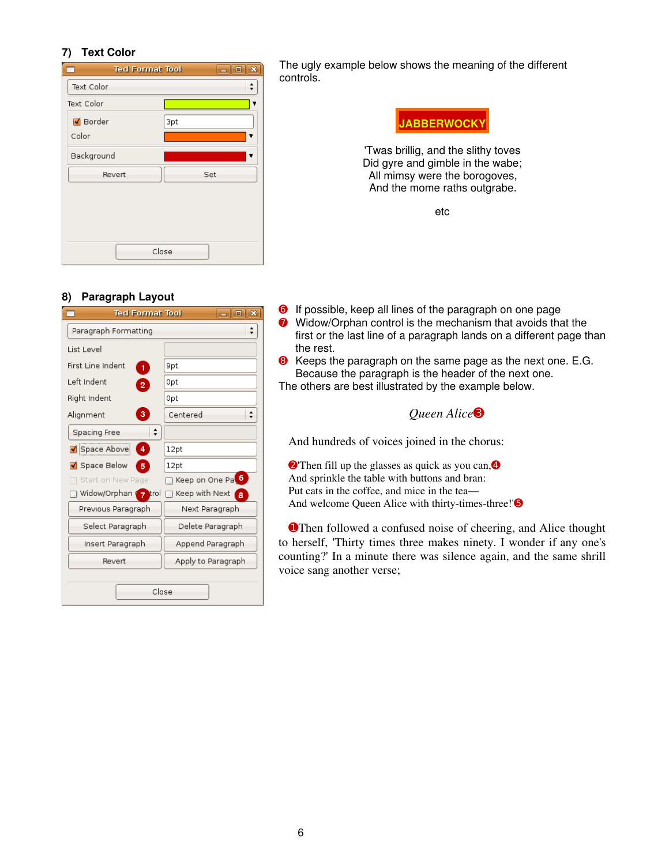# <span id="page-5-0"></span>**7) Text Color**

| <b>Ted Format Tool</b> | $\overline{\mathbf{x}}$<br>$\Box$<br>÷. |
|------------------------|-----------------------------------------|
| Text Color             |                                         |
| Text Color             |                                         |
| M Border               | 3pt                                     |
| Color                  | ▼                                       |
| Background             | ▼                                       |
| Revert                 | Set                                     |
|                        |                                         |
|                        |                                         |
|                        |                                         |
|                        | Close                                   |

The ugly example below shows the meaning of the different controls.



'Twas brillig, and the slithy toves Did gyre and gimble in the wabe; All mimsy were the borogoves, And the mome raths outgrabe.

etc

# **8) Paragraph Layout**

| <b>Ted Format Tool</b><br>×<br>o |                            |  |  |  |  |
|----------------------------------|----------------------------|--|--|--|--|
| Paragraph Formatting             |                            |  |  |  |  |
| List Level                       |                            |  |  |  |  |
| First Line Indent<br>1           | 9pt                        |  |  |  |  |
| Left Indent<br>$\overline{2}$    | Opt                        |  |  |  |  |
| Right Indent                     | 0pt                        |  |  |  |  |
| з<br>Alignment                   | Centered                   |  |  |  |  |
| Spacing Free                     |                            |  |  |  |  |
| 4<br>Space Above                 | 12pt                       |  |  |  |  |
| ◘ Space Below<br>5               | 12pt                       |  |  |  |  |
| Start on New Page                | Keep on One Pa             |  |  |  |  |
| Widow/Orphan 7 trol              | Keep with Next<br><b>A</b> |  |  |  |  |
| Previous Paragraph               | Next Paragraph             |  |  |  |  |
| Select Paragraph                 | Delete Paragraph           |  |  |  |  |
| Insert Paragraph                 | Append Paragraph           |  |  |  |  |
| Revert                           | Apply to Paragraph         |  |  |  |  |
|                                  | Close                      |  |  |  |  |

- ➏ If possible, keep all lines of the paragraph on one page **O** Widow/Orphan control is the mechanism that avoids that the first or the last line of a paragraph lands on a different page than the rest.
- ➑ Keeps the paragraph on the same page as the next one. E.G. Because the paragraph is the header of the next one. The others are best illustrated by the example below.

*Queen Alice*➌

And hundreds of voices joined in the chorus:

**Q**'Then fill up the glasses as quick as you can, **4** And sprinkle the table with buttons and bran: Put cats in the coffee, and mice in the tea— And welcome Queen Alice with thirty-times-three!'<sup>S</sup>

**OThen followed a confused noise of cheering, and Alice thought** to herself, 'Thirty times three makes ninety. I wonder if any one's counting?' In a minute there was silence again, and the same shrill voice sang another verse;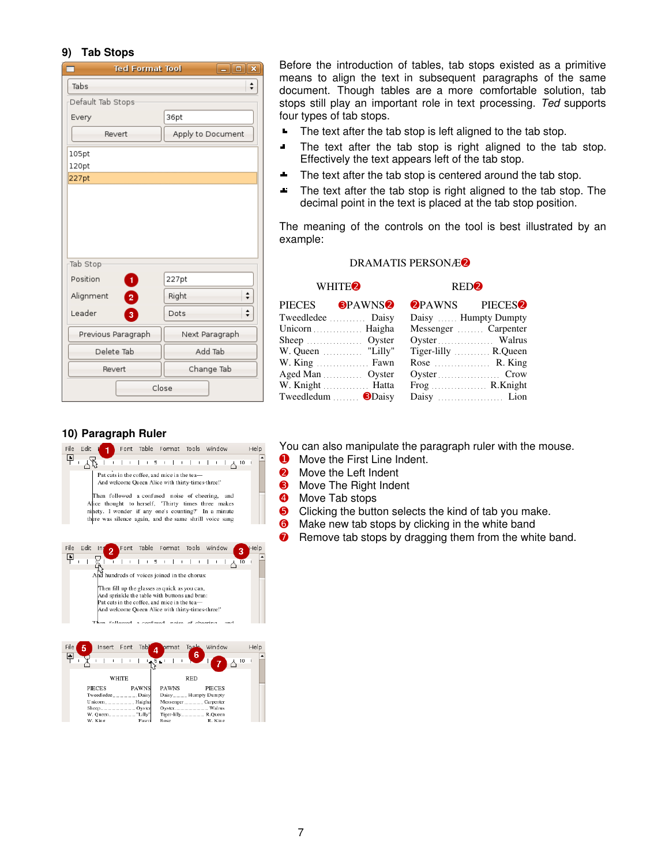# <span id="page-6-0"></span>**9) Tab Stops**

| <b>Ted Format Tool</b>               |       | وإرد<br>×          |  |  |
|--------------------------------------|-------|--------------------|--|--|
| Tabs                                 |       | $\hat{\mathbf{z}}$ |  |  |
| Default Tab Stops                    |       |                    |  |  |
| Every                                | 36pt  |                    |  |  |
| Revert                               |       | Apply to Document  |  |  |
| 105pt<br>120pt                       |       |                    |  |  |
| 227pt                                |       |                    |  |  |
| Tab Stop<br>Position<br>$\mathbf{1}$ | 227pt |                    |  |  |
| Alignment<br>$\overline{2}$          | Right | $\div$             |  |  |
| Leader<br>3                          | Dots  | ۰                  |  |  |
| Previous Paragraph                   |       | Next Paragraph     |  |  |
| Delete Tab                           |       | Add Tab            |  |  |
| Revert                               |       | Change Tab         |  |  |
| Close                                |       |                    |  |  |

Before the introduction of tables, tab stops existed as a primitive means to align the text in subsequent paragraphs of the same document. Though tables are a more comfortable solution, tab stops still play an important role in text processing. *Ted* supports four types of tab stops.

- $\blacksquare$ The text after the tab stop is left aligned to the tab stop.
- $\blacksquare$ The text after the tab stop is right aligned to the tab stop. Effectively the text appears left of the tab stop.
- The text after the tab stop is centered around the tab stop. a.
- $\Delta t$ The text after the tab stop is right aligned to the tab stop. The decimal point in the text is placed at the tab stop position.

The meaning of the controls on the tool is best illustrated by an example:

#### DRAMATIS PERSONÆ➋

#### WHITE<sup>2</sup> RED<sup>2</sup>

#### PIECES **OPAWNS<sup>O</sup> OPAWNS** PIECESO Tweedledee ........... Daisy Daisy Daisy Humpty Dumpty Unicorn Messenger Messenger Carpenter Sheep ................. Oyster Oyster ..................... Walrus W. Queen ............. "Lilly" Tiger-lilly ............ R. Queen W. King <u>Fawn</u> Rose R. King Aged Man Oyster Oyster Crow W. Knight ............... Hatta Frog .................. R.Knight Tweedledum ....... <sup>1</sup>Daisy Daisy Daisy Daisy Lion

# **10) Paragraph Ruler**



| File | 5 |                  | Insert Font |       | Tab          |        |              | ormat Tools |            |   | Window              |    | Help |  |
|------|---|------------------|-------------|-------|--------------|--------|--------------|-------------|------------|---|---------------------|----|------|--|
| Þ.   |   |                  |             |       |              | $-5+1$ |              |             |            | 6 |                     | 10 |      |  |
|      |   |                  |             | WHITE |              |        |              |             | <b>RED</b> |   |                     |    |      |  |
|      |   | <b>PIECES</b>    |             |       | <b>PAWNS</b> |        | <b>PAWNS</b> |             |            |   | <b>PIECES</b>       |    |      |  |
|      |   | Tweedledee Daisy |             |       |              |        |              |             |            |   | Daisy Humpty Dumpty |    |      |  |
|      |   |                  |             |       |              |        |              |             |            |   | Messenger Carpenter |    |      |  |
|      |   |                  |             |       |              |        |              |             |            |   |                     |    |      |  |
|      |   |                  |             |       |              |        |              |             |            |   | Tiger-lilly R.Queen |    |      |  |
|      |   | W. King          |             |       | Fawn         |        | Rose         |             |            |   | R. King             |    |      |  |

You can also manipulate the paragraph ruler with the mouse.

- **O** Move the First Line Indent.
- **<sup>2</sup>** Move the Left Indent
- **8** Move The Right Indent
- **4** Move Tab stops
- **G** Clicking the button selects the kind of tab you make.
- **O** Make new tab stops by clicking in the white band
- **O** Remove tab stops by dragging them from the white band.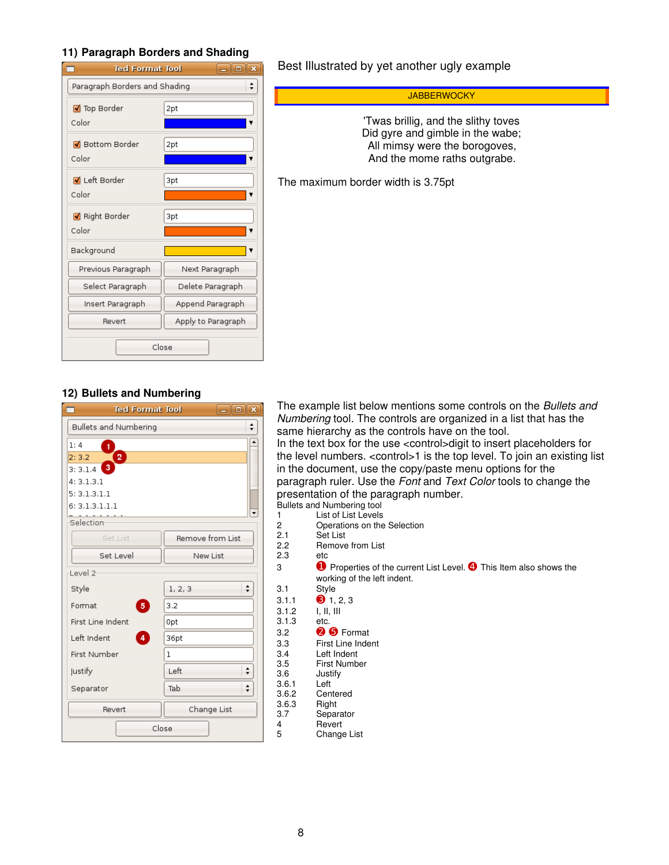# <span id="page-7-0"></span>**11) Paragraph Borders and Shading**

| <b>Ted Format Tool</b><br>$-$ 10<br>× |                    |  |  |  |  |
|---------------------------------------|--------------------|--|--|--|--|
| Paragraph Borders and Shading<br>۰    |                    |  |  |  |  |
| ■ Top Border                          | 2pt                |  |  |  |  |
| Color                                 |                    |  |  |  |  |
| M Bottom Border                       | 2pt                |  |  |  |  |
| Color                                 |                    |  |  |  |  |
| I Left Border                         | 3pt                |  |  |  |  |
| Color                                 |                    |  |  |  |  |
| Right Border                          | 3pt                |  |  |  |  |
| Color                                 |                    |  |  |  |  |
| Background                            |                    |  |  |  |  |
| Previous Paragraph                    | Next Paragraph     |  |  |  |  |
| Select Paragraph                      | Delete Paragraph   |  |  |  |  |
| Insert Paragraph                      | Append Paragraph   |  |  |  |  |
| Revert                                | Apply to Paragraph |  |  |  |  |
| Close                                 |                    |  |  |  |  |

# Best Illustrated by yet another ugly example

#### **JABBERWOCKY**

'Twas brillig, and the slithy toves Did gyre and gimble in the wabe; All mimsy were the borogoves, And the mome raths outgrabe.

The maximum border width is 3.75pt

# **12) Bullets and Numbering**

| ×<br><b>Ted Format Tool</b><br>o |                  |  |  |  |
|----------------------------------|------------------|--|--|--|
| Bullets and Numbering            |                  |  |  |  |
| 1:4<br>1                         | ▲                |  |  |  |
| 2.<br>2:3.2                      |                  |  |  |  |
| 3<br>3:3.1.4                     |                  |  |  |  |
| 4:3.1.3.1                        |                  |  |  |  |
| 5:3.1.3.1.1                      |                  |  |  |  |
| 6:3.1.3.1.1.1                    | ٠                |  |  |  |
| Selection                        |                  |  |  |  |
| Set List                         | Remove from List |  |  |  |
| Set Level<br>New List            |                  |  |  |  |
| Level 2-                         |                  |  |  |  |
| Style                            | ▲<br>1, 2, 3     |  |  |  |
| 5 <sub>5</sub><br>Format         | 3.2              |  |  |  |
| First Line Indent<br>0pt         |                  |  |  |  |
| 4<br>Left Indent<br>36pt         |                  |  |  |  |
| First Number                     | ı                |  |  |  |
| ≑<br>Left<br>Justify             |                  |  |  |  |
| ÷<br>Tab<br>Separator            |                  |  |  |  |
| Revert                           | Change List      |  |  |  |
| Close                            |                  |  |  |  |

The example list below mentions some controls on the *Bullets and Numbering* tool. The controls are organized in a list that has the same hierarchy as the controls have on the tool. In the text box for the use <control>digit to insert placeholders for the level numbers. <control>1 is the top level. To join an existing list in the document, use the copy/paste menu options for the paragraph ruler. Use the *Font* and *Text Color* tools to change the presentation of the paragraph number. Bullets and Numbering tool

- 
- 1 List of List Levels<br>2 Operations on the 2 Operations on the Selection<br>2.1 Set List
- 2.1 Set List<br>2.2 Remove
	- Remove from List
- 2.3 etc

3 **O** Properties of the current List Level. <sup>4</sup> This Item also shows the working of the left indent.

- 3.1 Style<br>3.1.1 **3** 1.
	- $\bullet$  1, 2, 3
- 3.1.2 I, II, III
- 3.1.3 etc.
- 3.2 ➋ ➎ Format
- 3.3 First Line Indent
- 3.4 Left Indent 3.5 First Number
- Justify<br>Left  $3.6.1$ 
	-
- 3.6.2 Centered<br>3.6.3 Right
- 3.6.3 Right<br>3.7 Separ Separator
- 4 Revert<br>5 Change
	- **Change List**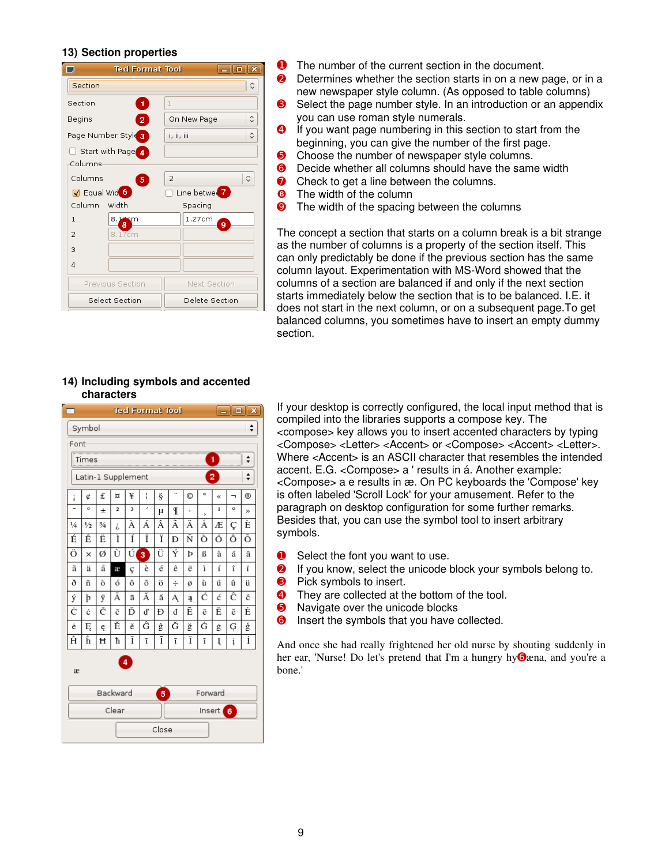# <span id="page-8-0"></span>**13) Section properties**

| E<br><b>Ted Format Tool</b><br>l x<br>II o |                                  |  |  |  |  |
|--------------------------------------------|----------------------------------|--|--|--|--|
| Section                                    | $\hat{\cdot}$                    |  |  |  |  |
| Section<br>1                               | ı                                |  |  |  |  |
| Begins<br>2                                | ≎<br>On New Page                 |  |  |  |  |
| Page Number Style 3                        | $\hat{\mathbf{c}}$<br>i, ii, iii |  |  |  |  |
| Start with Page 4<br>Columns               |                                  |  |  |  |  |
| Columns<br>5                               | $\hat{\cdot}$<br>$\overline{2}$  |  |  |  |  |
| Ø Equal Wid <sup>6</sup>                   | Line betwer <sup>7</sup>         |  |  |  |  |
| Column Width                               | Spacing                          |  |  |  |  |
| 1<br>8. <b>Lin</b> sm<br>8                 | 1.27cm<br>ğ                      |  |  |  |  |
| 8.17cm<br>$\overline{2}$                   |                                  |  |  |  |  |
| 3                                          |                                  |  |  |  |  |
| 4                                          |                                  |  |  |  |  |
| Previous Section                           | Next Section                     |  |  |  |  |
| Select Section                             | Delete Section                   |  |  |  |  |

- ➊ The number of the current section in the document.
- **O** Determines whether the section starts in on a new page, or in a new newspaper style column. (As opposed to table columns)
- **◯** Select the page number style. In an introduction or an appendix you can use roman style numerals.
- ➍ If you want page numbering in this section to start from the beginning, you can give the number of the first page.
- **O** Choose the number of newspaper style columns.
- **O** Decide whether all columns should have the same width
- **◯** Check to get a line between the columns.
- **<sup>O</sup>** The width of the column
- **O** The width of the spacing between the columns

The concept a section that starts on a column break is a bit strange as the number of columns is a property of the section itself. This can only predictably be done if the previous section has the same column layout. Experimentation with MS-Word showed that the columns of a section are balanced if and only if the next section starts immediately below the section that is to be balanced. I.E. it does not start in the next column, or on a subsequent page.To get balanced columns, you sometimes have to insert an empty dummy section.

#### **14) Including symbols and accented characters**

| <b>Ted Format Tool</b><br>$-$ 0        |               |               |                         |   |   | × |    |   |              |              |                          |                |
|----------------------------------------|---------------|---------------|-------------------------|---|---|---|----|---|--------------|--------------|--------------------------|----------------|
| Symbol<br>÷                            |               |               |                         |   |   |   |    |   |              |              |                          |                |
| Font                                   |               |               |                         |   |   |   |    |   |              |              |                          |                |
| 1<br>Times                             |               |               |                         |   |   |   |    |   |              |              |                          |                |
| 2<br>⇡<br>Latin-1 Supplement           |               |               |                         |   |   |   |    |   |              |              |                          |                |
| i                                      | ¢             | £             | ¤                       | ¥ | ł | ş | ., | O | $\mathbf{a}$ | «            | $\overline{\phantom{a}}$ | $^{\circledR}$ |
|                                        | $\circ$       | $\pm$         | $\overline{\mathbf{c}}$ | 3 | í | μ | T  | ı | ż            | $\mathbf{1}$ | $\circ$                  | »              |
| $\frac{1}{4}$                          | $\frac{1}{2}$ | $\frac{3}{4}$ | i,                      | À | Á | Â | Ã  | Ä | Å            | Æ            | Ç                        | È              |
| É                                      | Ê             | Ë             | ì                       | Í | Î | Ï | Đ  | Ñ | ò            | ó            | ô                        | õ              |
| Ö                                      | $\times$      | Ø             | Ù                       | Ú | 3 | Ü | Ý  | Þ | ß            | à            | á                        | â              |
| ã                                      | ä             | å             | æ                       | ç | è | é | ê  | ë | ì            | í            | î                        | ï              |
| ð                                      | ñ             | ò             | ó                       | ô | õ | ö | ÷  | ø | ù            | ú            | û                        | ü              |
| ý                                      | þ             | ÿ             | Ā                       | ā | Ă | ă | Ą  | ą | Ć            | ć            | Ĉ                        | ĉ              |
| Ċ                                      | ċ             | Č             | č                       | Ď | ď | Đ | đ  | Ē | ē            | Ĕ            | ĕ                        | Ė              |
| ė                                      | Ę             | ę             | Ě                       | ě | Ĝ | ĝ | Ğ  | ğ | Ġ            | ġ            | Ģ                        | ģ              |
| Ĥ                                      | ĥ             | Ħ             | ħ                       | Ĩ | ĩ | Ī | ī  | Ĭ | ĭ            | Į            | į                        | İ              |
| $\overline{4}$<br>æ                    |               |               |                         |   |   |   |    |   |              |              |                          |                |
| Backward<br>Forward<br>$5\phantom{.0}$ |               |               |                         |   |   |   |    |   |              |              |                          |                |
| Clear<br>Insert $6$                    |               |               |                         |   |   |   |    |   |              |              |                          |                |
| Close                                  |               |               |                         |   |   |   |    |   |              |              |                          |                |

If your desktop is correctly configured, the local input method that is compiled into the libraries supports a compose key. The <compose> key allows you to insert accented characters by typing <Compose> <Letter> <Accent> or <Compose> <Accent> <Letter>. Where <Accent> is an ASCII character that resembles the intended accent. E.G. <Compose> a ' results in á. Another example: <Compose> a e results in æ. On PC keyboards the 'Compose' key is often labeled 'Scroll Lock' for your amusement. Refer to the paragraph on desktop configuration for some further remarks. Besides that, you can use the symbol tool to insert arbitrary symbols.

- **O** Select the font you want to use.
- ➋ If you know, select the unicode block your symbols belong to.
- **B** Pick symbols to insert.
- **<sup>4</sup>** They are collected at the bottom of the tool.
- **S** Navigate over the unicode blocks
- **O** Insert the symbols that you have collected.

And once she had really frightened her old nurse by shouting suddenly in her ear, 'Nurse! Do let's pretend that I'm a hungry hy**O**æna, and you're a bone.'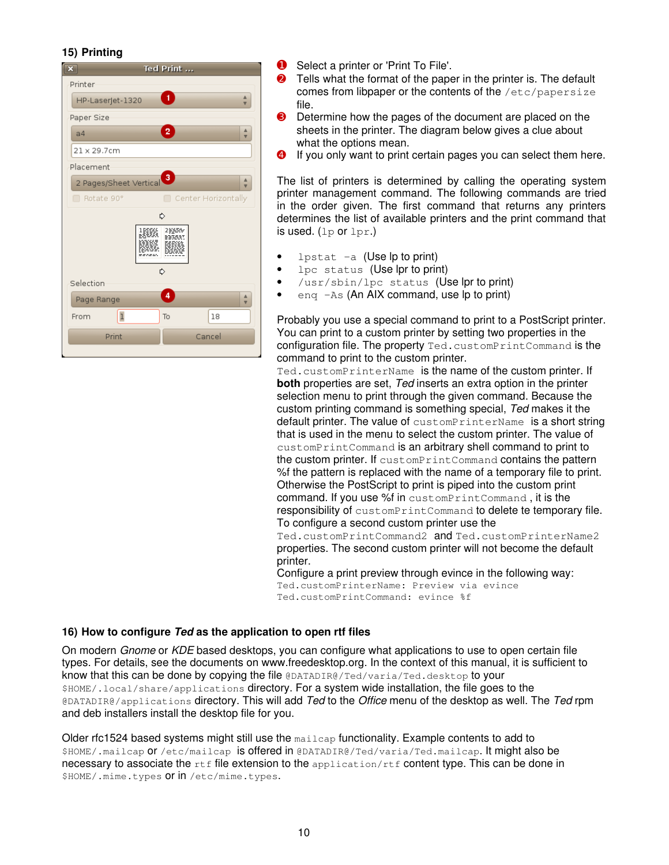# <span id="page-9-0"></span>**15) Printing**

| ×                      | Ted Print                         |  |  |  |  |
|------------------------|-----------------------------------|--|--|--|--|
| Printer                |                                   |  |  |  |  |
| HP-Laserjet-1320       | 1<br>Δ<br>$\overline{\mathbf{v}}$ |  |  |  |  |
| Paper Size             |                                   |  |  |  |  |
| 2<br>▵<br>a4<br>v      |                                   |  |  |  |  |
| $21 \times 29.7$ cm    |                                   |  |  |  |  |
| Placement              |                                   |  |  |  |  |
| 2 Pages/Sheet Vertical | $\mathbf{3}$<br>Δ                 |  |  |  |  |
| Rotate 90°             | Center Horizontally               |  |  |  |  |
|                        | ₿                                 |  |  |  |  |
|                        |                                   |  |  |  |  |
| Selection              | ₿                                 |  |  |  |  |
| Page Range             | 4<br>Δ<br>v                       |  |  |  |  |
| $\mathbf 1$<br>From    | 18<br>To                          |  |  |  |  |
| Print                  | Cancel                            |  |  |  |  |
|                        |                                   |  |  |  |  |

- **O** Select a printer or 'Print To File'.
- **◯** Tells what the format of the paper in the printer is. The default comes from libpaper or the contents of the /etc/papersize file.
- ➌ Determine how the pages of the document are placed on the sheets in the printer. The diagram below gives a clue about what the options mean.
- ➍ If you only want to print certain pages you can select them here.

The list of printers is determined by calling the operating system printer management command. The following commands are tried in the order given. The first command that returns any printers determines the list of available printers and the print command that is used. (lp or  $1pr.$ )

- 1 $p$ stat  $-a$  (Use  $lp$  to print)
- lpc status (Use lpr to print)
- /usr/sbin/lpc status (Use lpr to print)
- eng  $-As$  (An AIX command, use  $lp$  to print)

Probably you use a special command to print to a PostScript printer. You can print to a custom printer by setting two properties in the configuration file. The property Ted.customPrintCommand is the command to print to the custom printer.

Ted.customPrinterName is the name of the custom printer. If **both** properties are set, *Ted* inserts an extra option in the printer selection menu to print through the given command. Because the custom printing command is something special, *Ted* makes it the default printer. The value of customPrinterName is a short string that is used in the menu to select the custom printer. The value of customPrintCommand is an arbitrary shell command to print to the custom printer. If customPrintCommand contains the pattern %f the pattern is replaced with the name of a temporary file to print. Otherwise the PostScript to print is piped into the custom print command. If you use %f in customPrintCommand , it is the responsibility of customPrintCommand to delete te temporary file. To configure a second custom printer use the

Ted.customPrintCommand2 and Ted.customPrinterName2 properties. The second custom printer will not become the default printer.

Configure a print preview through evince in the following way: Ted.customPrinterName: Preview via evince Ted.customPrintCommand: evince %f

#### **16) How to configure** *Ted* **as the application to open rtf files**

On modern *Gnome* or *KDE* based desktops, you can configure what applications to use to open certain file types. For details, see the documents on www.freedesktop.org. In the context of this manual, it is sufficient to know that this can be done by copying the file @DATADIR@/Ted/varia/Ted.desktop to your \$HOME/.local/share/applications directory. For a system wide installation, the file goes to the @DATADIR@/applications directory. This will add *Ted* to the *Office* menu of the desktop as well. The *Ted* rpm and deb installers install the desktop file for you.

Older rfc1524 based systems might still use the mailcap functionality. Example contents to add to \$HOME/.mailcap or /etc/mailcap is offered in @DATADIR@/Ted/varia/Ted.mailcap. It might also be necessary to associate the  $r \text{tf}$  file extension to the application/ $r \text{tf}$  content type. This can be done in \$HOME/.mime.types Or in /etc/mime.types.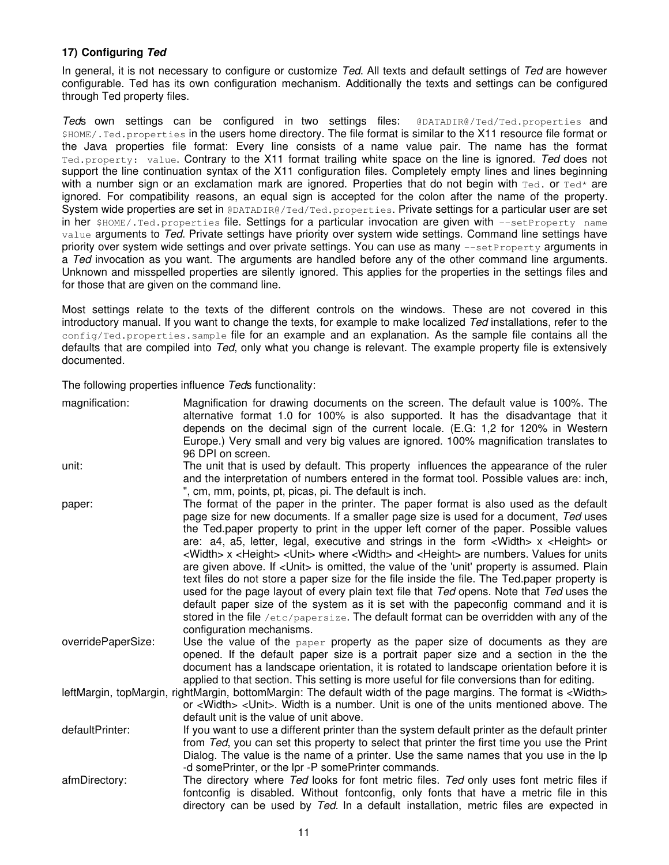# <span id="page-10-0"></span>**17) Configuring** *Ted*

In general, it is not necessary to configure or customize *Ted*. All texts and default settings of *Ted* are however configurable. Ted has its own configuration mechanism. Additionally the texts and settings can be configured through Ted property files.

*Ted*s own settings can be configured in two settings files: @DATADIR@/Ted/Ted.properties and \$HOME/.Ted.properties in the users home directory. The file format is similar to the X11 resource file format or the Java properties file format: Every line consists of a name value pair. The name has the format Ted.property: value. Contrary to the X11 format trailing white space on the line is ignored. *Ted* does not support the line continuation syntax of the X11 configuration files. Completely empty lines and lines beginning with a number sign or an exclamation mark are ignored. Properties that do not begin with  $\text{red}$ , or  $\text{red}^*$  are ignored. For compatibility reasons, an equal sign is accepted for the colon after the name of the property. System wide properties are set in @DATADIR@/Ted/Ted.properties. Private settings for a particular user are set in her \$HOME/.Ted.properties file. Settings for a particular invocation are given with --setProperty name value arguments to *Ted*. Private settings have priority over system wide settings. Command line settings have priority over system wide settings and over private settings. You can use as many --setProperty arguments in a *Ted* invocation as you want. The arguments are handled before any of the other command line arguments. Unknown and misspelled properties are silently ignored. This applies for the properties in the settings files and for those that are given on the command line.

Most settings relate to the texts of the different controls on the windows. These are not covered in this introductory manual. If you want to change the texts, for example to make localized *Ted* installations, refer to the config/Ted.properties.sample file for an example and an explanation. As the sample file contains all the defaults that are compiled into *Ted*, only what you change is relevant. The example property file is extensively documented.

The following properties influence *Ted*s functionality:

| magnification:     | Magnification for drawing documents on the screen. The default value is 100%. The<br>alternative format 1.0 for 100% is also supported. It has the disadvantage that it<br>depends on the decimal sign of the current locale. (E.G: 1,2 for 120% in Western<br>Europe.) Very small and very big values are ignored. 100% magnification translates to<br>96 DPI on screen.                                                                                                                                                                                                                                                                                                                                                                                                                                                                                                                                                                                                                                                     |
|--------------------|-------------------------------------------------------------------------------------------------------------------------------------------------------------------------------------------------------------------------------------------------------------------------------------------------------------------------------------------------------------------------------------------------------------------------------------------------------------------------------------------------------------------------------------------------------------------------------------------------------------------------------------------------------------------------------------------------------------------------------------------------------------------------------------------------------------------------------------------------------------------------------------------------------------------------------------------------------------------------------------------------------------------------------|
| unit:              | The unit that is used by default. This property influences the appearance of the ruler<br>and the interpretation of numbers entered in the format tool. Possible values are: inch,<br>", cm, mm, points, pt, picas, pi. The default is inch.                                                                                                                                                                                                                                                                                                                                                                                                                                                                                                                                                                                                                                                                                                                                                                                  |
| paper:             | The format of the paper in the printer. The paper format is also used as the default<br>page size for new documents. If a smaller page size is used for a document, Ted uses<br>the Ted.paper property to print in the upper left corner of the paper. Possible values<br>are: $a4$ , $a5$ , letter, legal, executive and strings in the form < Width > $x$ < Height > or<br><width> x <height> <unit> where <width> and <height> are numbers. Values for units<br/>are given above. If <unit> is omitted, the value of the 'unit' property is assumed. Plain<br/>text files do not store a paper size for the file inside the file. The Ted paper property is<br/>used for the page layout of every plain text file that Ted opens. Note that Ted uses the<br/>default paper size of the system as it is set with the papeconfig command and it is<br/>stored in the file /etc/papersize. The default format can be overridden with any of the<br/>configuration mechanisms.</unit></height></width></unit></height></width> |
| overridePaperSize: | Use the value of the $_{\text{paper}}$ property as the paper size of documents as they are<br>opened. If the default paper size is a portrait paper size and a section in the the<br>document has a landscape orientation, it is rotated to landscape orientation before it is<br>applied to that section. This setting is more useful for file conversions than for editing.                                                                                                                                                                                                                                                                                                                                                                                                                                                                                                                                                                                                                                                 |
|                    | leftMargin, topMargin, rightMargin, bottomMargin: The default width of the page margins. The format is <width><br/>or <width> <unit>. Width is a number. Unit is one of the units mentioned above. The<br/>default unit is the value of unit above.</unit></width></width>                                                                                                                                                                                                                                                                                                                                                                                                                                                                                                                                                                                                                                                                                                                                                    |
| defaultPrinter:    | If you want to use a different printer than the system default printer as the default printer<br>from Ted, you can set this property to select that printer the first time you use the Print<br>Dialog. The value is the name of a printer. Use the same names that you use in the lp<br>-d somePrinter, or the lpr -P somePrinter commands.                                                                                                                                                                                                                                                                                                                                                                                                                                                                                                                                                                                                                                                                                  |
| afmDirectory:      | The directory where Ted looks for font metric files. Ted only uses font metric files if<br>fontconfig is disabled. Without fontconfig, only fonts that have a metric file in this<br>directory can be used by Ted. In a default installation, metric files are expected in                                                                                                                                                                                                                                                                                                                                                                                                                                                                                                                                                                                                                                                                                                                                                    |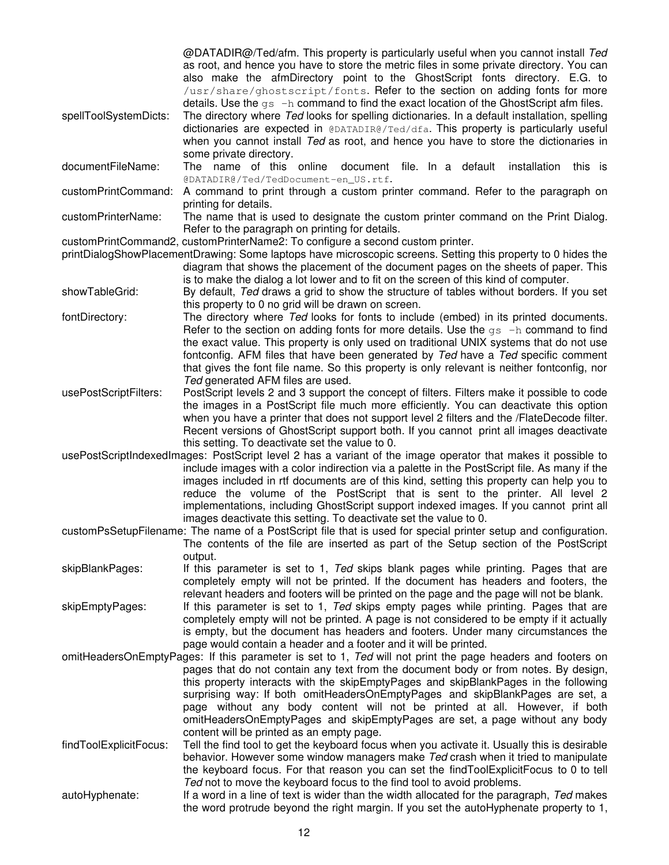@DATADIR@/Ted/afm. This property is particularly useful when you cannot install *Ted* as root, and hence you have to store the metric files in some private directory. You can also make the afmDirectory point to the GhostScript fonts directory. E.G. to /usr/share/ghostscript/fonts. Refer to the section on adding fonts for more details. Use the  $qs -h$  command to find the exact location of the GhostScript afm files.

spellToolSystemDicts: The directory where *Ted* looks for spelling dictionaries. In a default installation, spelling dictionaries are expected in @DATADIR@/Ted/dfa. This property is particularly useful when you cannot install *Ted* as root, and hence you have to store the dictionaries in some private directory.

documentFileName: The name of this online document file. In a default installation this is @DATADIR@/Ted/TedDocument-en\_US.rtf.

customPrintCommand: A command to print through a custom printer command. Refer to the paragraph on printing for details.

customPrinterName: The name that is used to designate the custom printer command on the Print Dialog. Refer to the paragraph on printing for details.

customPrintCommand2, customPrinterName2: To configure a second custom printer.

printDialogShowPlacementDrawing: Some laptops have microscopic screens. Setting this property to 0 hides the diagram that shows the placement of the document pages on the sheets of paper. This is to make the dialog a lot lower and to fit on the screen of this kind of computer.

showTableGrid: By default, *Ted* draws a grid to show the structure of tables without borders. If you set this property to 0 no grid will be drawn on screen.

- fontDirectory: The directory where *Ted* looks for fonts to include (embed) in its printed documents. Refer to the section on adding fonts for more details. Use the  $gs -h$  command to find the exact value. This property is only used on traditional UNIX systems that do not use fontconfig. AFM files that have been generated by *Ted* have a *Ted* specific comment that gives the font file name. So this property is only relevant is neither fontconfig, nor *Ted* generated AFM files are used.
- usePostScriptFilters: PostScript levels 2 and 3 support the concept of filters. Filters make it possible to code the images in a PostScript file much more efficiently. You can deactivate this option when you have a printer that does not support level 2 filters and the /FlateDecode filter. Recent versions of GhostScript support both. If you cannot print all images deactivate this setting. To deactivate set the value to 0.
- usePostScriptIndexedImages: PostScript level 2 has a variant of the image operator that makes it possible to include images with a color indirection via a palette in the PostScript file. As many if the images included in rtf documents are of this kind, setting this property can help you to reduce the volume of the PostScript that is sent to the printer. All level 2 implementations, including GhostScript support indexed images. If you cannot print all images deactivate this setting. To deactivate set the value to 0.
- customPsSetupFilename: The name of a PostScript file that is used for special printer setup and configuration. The contents of the file are inserted as part of the Setup section of the PostScript output.

skipBlankPages: If this parameter is set to 1, *Ted* skips blank pages while printing. Pages that are completely empty will not be printed. If the document has headers and footers, the relevant headers and footers will be printed on the page and the page will not be blank.

skipEmptyPages: If this parameter is set to 1, *Ted* skips empty pages while printing. Pages that are completely empty will not be printed. A page is not considered to be empty if it actually is empty, but the document has headers and footers. Under many circumstances the page would contain a header and a footer and it will be printed.

- omitHeadersOnEmptyPages: If this parameter is set to 1, *Ted* will not print the page headers and footers on pages that do not contain any text from the document body or from notes. By design, this property interacts with the skipEmptyPages and skipBlankPages in the following surprising way: If both omitHeadersOnEmptyPages and skipBlankPages are set, a page without any body content will not be printed at all. However, if both omitHeadersOnEmptyPages and skipEmptyPages are set, a page without any body content will be printed as an empty page.
- findToolExplicitFocus: Tell the find tool to get the keyboard focus when you activate it. Usually this is desirable behavior. However some window managers make *Ted* crash when it tried to manipulate the keyboard focus. For that reason you can set the findToolExplicitFocus to 0 to tell *Ted* not to move the keyboard focus to the find tool to avoid problems.
- autoHyphenate: If a word in a line of text is wider than the width allocated for the paragraph, *Ted* makes the word protrude beyond the right margin. If you set the autoHyphenate property to 1,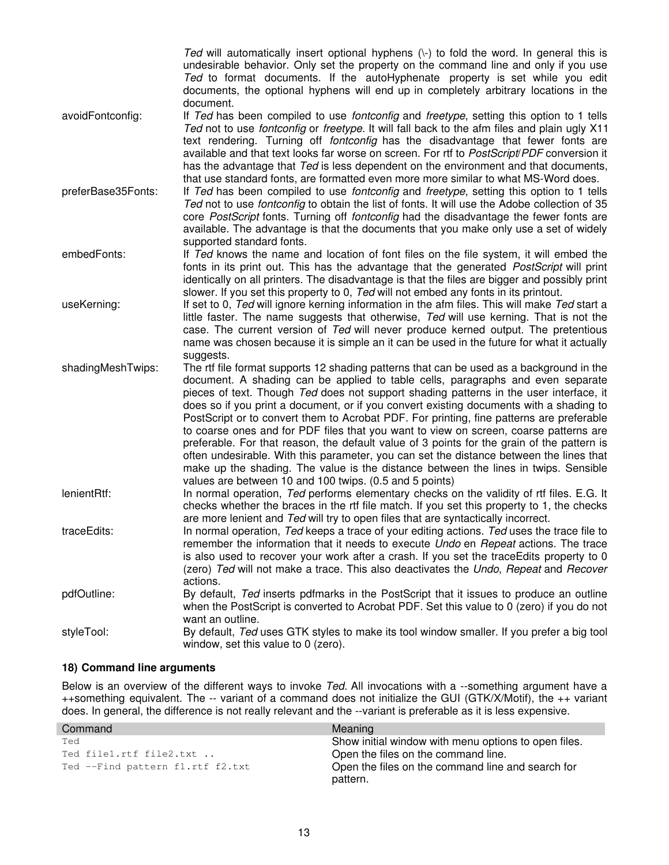*Ted* will automatically insert optional hyphens ( $\cdot$ ) to fold the word. In general this is undesirable behavior. Only set the property on the command line and only if you use *Ted* to format documents. If the autoHyphenate property is set while you edit documents, the optional hyphens will end up in completely arbitrary locations in the document.

<span id="page-12-0"></span>avoidFontconfig: If *Ted* has been compiled to use *fontconfig* and *freetype*, setting this option to 1 tells *Ted* not to use *fontconfig* or *freetype*. It will fall back to the afm files and plain ugly X11 text rendering. Turning off *fontconfig* has the disadvantage that fewer fonts are available and that text looks far worse on screen. For rtf to *PostScript*/*PDF* conversion it has the advantage that *Ted* is less dependent on the environment and that documents, that use standard fonts, are formatted even more more similar to what MS-Word does.

preferBase35Fonts: If *Ted* has been compiled to use *fontconfig* and *freetype*, setting this option to 1 tells *Ted* not to use *fontconfig* to obtain the list of fonts. It will use the Adobe collection of 35 core *PostScript* fonts. Turning off *fontconfig* had the disadvantage the fewer fonts are available. The advantage is that the documents that you make only use a set of widely supported standard fonts.

embedFonts: If *Ted* knows the name and location of font files on the file system, it will embed the fonts in its print out. This has the advantage that the generated *PostScript* will print identically on all printers. The disadvantage is that the files are bigger and possibly print slower. If you set this property to 0, *Ted* will not embed any fonts in its printout.

useKerning: If set to 0, *Ted* will ignore kerning information in the afm files. This will make *Ted* start a little faster. The name suggests that otherwise, *Ted* will use kerning. That is not the case. The current version of *Ted* will never produce kerned output. The pretentious name was chosen because it is simple an it can be used in the future for what it actually suggests.

shadingMeshTwips: The rtf file format supports 12 shading patterns that can be used as a background in the document. A shading can be applied to table cells, paragraphs and even separate pieces of text. Though *Ted* does not support shading patterns in the user interface, it does so if you print a document, or if you convert existing documents with a shading to PostScript or to convert them to Acrobat PDF. For printing, fine patterns are preferable to coarse ones and for PDF files that you want to view on screen, coarse patterns are preferable. For that reason, the default value of 3 points for the grain of the pattern is often undesirable. With this parameter, you can set the distance between the lines that make up the shading. The value is the distance between the lines in twips. Sensible values are between 10 and 100 twips. (0.5 and 5 points)

lenientRtf: In normal operation, *Ted* performs elementary checks on the validity of rtf files. E.G. It checks whether the braces in the rtf file match. If you set this property to 1, the checks are more lenient and *Ted* will try to open files that are syntactically incorrect.

traceEdits: In normal operation, *Ted* keeps a trace of your editing actions. *Ted* uses the trace file to remember the information that it needs to execute *Undo* en *Repeat* actions. The trace is also used to recover your work after a crash. If you set the traceEdits property to 0 (zero) *Ted* will not make a trace. This also deactivates the *Undo*, *Repeat* and *Recover* actions.

pdfOutline: By default, *Ted* inserts pdfmarks in the PostScript that it issues to produce an outline when the PostScript is converted to Acrobat PDF. Set this value to 0 (zero) if you do not want an outline.

styleTool: By default, *Ted* uses GTK styles to make its tool window smaller. If you prefer a big tool window, set this value to 0 (zero).

# **18) Command line arguments**

Below is an overview of the different ways to invoke *Ted*. All invocations with a --something argument have a ++something equivalent. The -- variant of a command does not initialize the GUI (GTK/X/Motif), the ++ variant does. In general, the difference is not really relevant and the --variant is preferable as it is less expensive.

| Command                          | <b>Meaning</b>                                       |
|----------------------------------|------------------------------------------------------|
| Ted                              | Show initial window with menu options to open files. |
| Ted file1.rtf file2.txt          | Open the files on the command line.                  |
| Ted --Find pattern fl.rtf f2.txt | Open the files on the command line and search for    |
|                                  | pattern.                                             |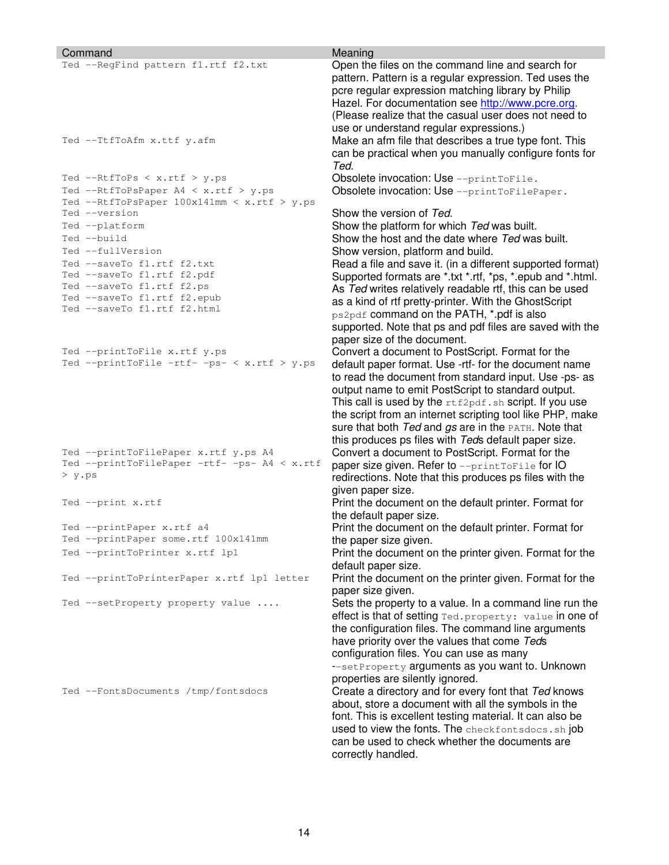| Command                                                                                        | Meaning                                                                                                                                                                                                                                                                                                                                                                                                                                                                                                                                         |
|------------------------------------------------------------------------------------------------|-------------------------------------------------------------------------------------------------------------------------------------------------------------------------------------------------------------------------------------------------------------------------------------------------------------------------------------------------------------------------------------------------------------------------------------------------------------------------------------------------------------------------------------------------|
| Ted --RegFind pattern fl.rtf f2.txt                                                            | Open the files on the command line and search for<br>pattern. Pattern is a regular expression. Ted uses the<br>pcre regular expression matching library by Philip<br>Hazel. For documentation see http://www.pcre.org.<br>(Please realize that the casual user does not need to                                                                                                                                                                                                                                                                 |
|                                                                                                |                                                                                                                                                                                                                                                                                                                                                                                                                                                                                                                                                 |
| Ted --TtfToAfm x.ttf y.afm                                                                     | use or understand regular expressions.)<br>Make an afm file that describes a true type font. This<br>can be practical when you manually configure fonts for<br>Ted.                                                                                                                                                                                                                                                                                                                                                                             |
| Ted --RtfToPs < $x.rtf > y.ps$                                                                 | Obsolete invocation: Use --printToFile.                                                                                                                                                                                                                                                                                                                                                                                                                                                                                                         |
| Ted --RtfToPsPaper A4 < x.rtf > y.ps<br>Ted --RtfToPsPaper 100x141mm < x.rtf > y.ps            | Obsolete invocation: Use --printToFilePaper.                                                                                                                                                                                                                                                                                                                                                                                                                                                                                                    |
| Ted --version                                                                                  | Show the version of Ted.                                                                                                                                                                                                                                                                                                                                                                                                                                                                                                                        |
| Ted --platform                                                                                 | Show the platform for which Ted was built.                                                                                                                                                                                                                                                                                                                                                                                                                                                                                                      |
| Ted --build                                                                                    | Show the host and the date where Ted was built.                                                                                                                                                                                                                                                                                                                                                                                                                                                                                                 |
| Ted --fullVersion                                                                              | Show version, platform and build.                                                                                                                                                                                                                                                                                                                                                                                                                                                                                                               |
| Ted --saveTo fl.rtf f2.txt                                                                     | Read a file and save it. (in a different supported format)                                                                                                                                                                                                                                                                                                                                                                                                                                                                                      |
| Ted --saveTo fl.rtf f2.pdf                                                                     | Supported formats are *.txt *.rtf, *ps, *.epub and *.html.                                                                                                                                                                                                                                                                                                                                                                                                                                                                                      |
| Ted --saveTo fl.rtf f2.ps<br>Ted --saveTo f1.rtf f2.epub                                       | As Ted writes relatively readable rtf, this can be used                                                                                                                                                                                                                                                                                                                                                                                                                                                                                         |
| Ted --saveTo fl.rtf f2.html                                                                    | as a kind of rtf pretty-printer. With the GhostScript<br>ps2pdf command on the PATH, *.pdf is also<br>supported. Note that ps and pdf files are saved with the<br>paper size of the document.                                                                                                                                                                                                                                                                                                                                                   |
| Ted --printToFile x.rtf y.ps                                                                   | Convert a document to PostScript. Format for the                                                                                                                                                                                                                                                                                                                                                                                                                                                                                                |
| Ted --printToFile -rtf- -ps- < x.rtf > y.ps                                                    | default paper format. Use -rtf- for the document name<br>to read the document from standard input. Use -ps- as<br>output name to emit PostScript to standard output.                                                                                                                                                                                                                                                                                                                                                                            |
|                                                                                                | This call is used by the $rtf2pdf.sh$ script. If you use<br>the script from an internet scripting tool like PHP, make<br>Sure that both Ted and gs are in the PATH. Note that<br>this produces ps files with Teds default paper size.                                                                                                                                                                                                                                                                                                           |
| Ted --printToFilePaper x.rtf y.ps A4<br>Ted --printToFilePaper -rtf- -ps- A4 < x.rtf<br>> y.ps | Convert a document to PostScript. Format for the<br>paper size given. Refer to --printToFile for IO<br>redirections. Note that this produces ps files with the<br>given paper size.                                                                                                                                                                                                                                                                                                                                                             |
| Ted --print x.rtf                                                                              | Print the document on the default printer. Format for<br>the default paper size.                                                                                                                                                                                                                                                                                                                                                                                                                                                                |
| Ted --printPaper x.rtf a4                                                                      | Print the document on the default printer. Format for                                                                                                                                                                                                                                                                                                                                                                                                                                                                                           |
| Ted --printPaper some.rtf 100x141mm                                                            | the paper size given.                                                                                                                                                                                                                                                                                                                                                                                                                                                                                                                           |
| Ted --printToPrinter x.rtf lp1                                                                 | Print the document on the printer given. Format for the<br>default paper size.                                                                                                                                                                                                                                                                                                                                                                                                                                                                  |
| Ted --printToPrinterPaper x.rtf lp1 letter                                                     | Print the document on the printer given. Format for the<br>paper size given.                                                                                                                                                                                                                                                                                                                                                                                                                                                                    |
| Ted --setProperty property value                                                               | Sets the property to a value. In a command line run the<br>effect is that of setting Ted. property: value in one of                                                                                                                                                                                                                                                                                                                                                                                                                             |
| Ted --FontsDocuments /tmp/fontsdocs                                                            | the configuration files. The command line arguments<br>have priority over the values that come Teds<br>configuration files. You can use as many<br>--setProperty arguments as you want to. Unknown<br>properties are silently ignored.<br>Create a directory and for every font that Ted knows<br>about, store a document with all the symbols in the<br>font. This is excellent testing material. It can also be<br>used to view the fonts. The checkfontsdocs. sh job<br>can be used to check whether the documents are<br>correctly handled. |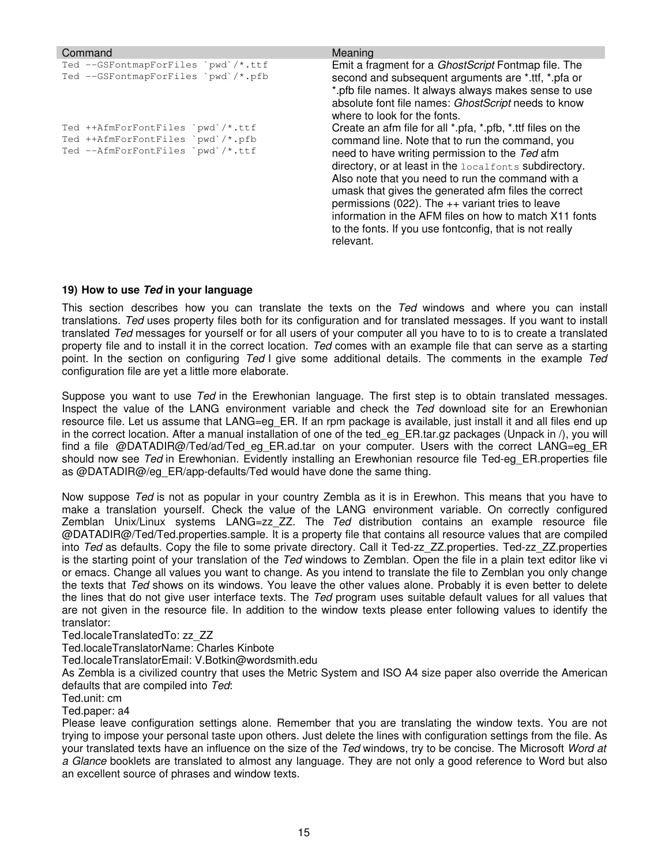<span id="page-14-0"></span>

| Command                                                                                                     | Meaning                                                                                                                                                                                                                                                                                                                                                                                                                                                                                                                         |
|-------------------------------------------------------------------------------------------------------------|---------------------------------------------------------------------------------------------------------------------------------------------------------------------------------------------------------------------------------------------------------------------------------------------------------------------------------------------------------------------------------------------------------------------------------------------------------------------------------------------------------------------------------|
| Ted --GSFontmapForFiles `pwd`/*.ttf<br>Ted --GSFontmapForFiles `pwd`/*.pfb                                  | Emit a fragment for a <i>GhostScript</i> Fontmap file. The<br>second and subsequent arguments are *.ttf, *.pfa or<br>*.pfb file names. It always always makes sense to use<br>absolute font file names: GhostScript needs to know<br>where to look for the fonts.                                                                                                                                                                                                                                                               |
| Ted ++AfmForFontFiles `pwd`/*.ttf<br>Ted ++AfmForFontFiles `pwd`/*.pfb<br>Ted --AfmForFontFiles `pwd`/*.ttf | Create an afm file for all *.pfa, *.pfb, *.ttf files on the<br>command line. Note that to run the command, you<br>need to have writing permission to the Ted afm<br>directory, or at least in the localfonts subdirectory.<br>Also note that you need to run the command with a<br>umask that gives the generated afm files the correct<br>permissions (022). The $++$ variant tries to leave<br>information in the AFM files on how to match X11 fonts<br>to the fonts. If you use fontconfig, that is not really<br>relevant. |

#### **19) How to use** *Ted* **in your language**

This section describes how you can translate the texts on the *Ted* windows and where you can install translations. *Ted* uses property files both for its configuration and for translated messages. If you want to install translated *Ted* messages for yourself or for all users of your computer all you have to to is to create a translated property file and to install it in the correct location. *Ted* comes with an example file that can serve as a starting point. In the section on configuring *Ted* I give some additional details. The comments in the example *Ted* configuration file are yet a little more elaborate.

Suppose you want to use *Ted* in the Erewhonian language. The first step is to obtain translated messages. Inspect the value of the LANG environment variable and check the *Ted* download site for an Erewhonian resource file. Let us assume that LANG=eg ER. If an rpm package is available, just install it and all files end up in the correct location. After a manual installation of one of the ted\_eg\_ER.tar.gz packages (Unpack in /), you will find a file @DATADIR@/Ted/ad/Ted eg ER.ad.tar on your computer. Users with the correct LANG=eg ER should now see *Ted* in Erewhonian. Evidently installing an Erewhonian resource file Ted-eg\_ER.properties file as @DATADIR@/eg\_ER/app-defaults/Ted would have done the same thing.

Now suppose *Ted* is not as popular in your country Zembla as it is in Erewhon. This means that you have to make a translation yourself. Check the value of the LANG environment variable. On correctly configured Zemblan Unix/Linux systems LANG=zz\_ZZ. The *Ted* distribution contains an example resource file @DATADIR@/Ted/Ted.properties.sample. It is a property file that contains all resource values that are compiled into *Ted* as defaults. Copy the file to some private directory. Call it Ted-zz\_ZZ.properties. Ted-zz\_ZZ.properties is the starting point of your translation of the *Ted* windows to Zemblan. Open the file in a plain text editor like vi or emacs. Change all values you want to change. As you intend to translate the file to Zemblan you only change the texts that *Ted* shows on its windows. You leave the other values alone. Probably it is even better to delete the lines that do not give user interface texts. The *Ted* program uses suitable default values for all values that are not given in the resource file. In addition to the window texts please enter following values to identify the translator:

#### Ted.localeTranslatedTo: zz\_ZZ

Ted.localeTranslatorName: Charles Kinbote

Ted.localeTranslatorEmail: V.Botkin@wordsmith.edu

As Zembla is a civilized country that uses the Metric System and ISO A4 size paper also override the American defaults that are compiled into *Ted*:

Ted.unit: cm

#### Ted.paper: a4

Please leave configuration settings alone. Remember that you are translating the window texts. You are not trying to impose your personal taste upon others. Just delete the lines with configuration settings from the file. As your translated texts have an influence on the size of the *Ted* windows, try to be concise. The Microsoft *Word at a Glance* booklets are translated to almost any language. They are not only a good reference to Word but also an excellent source of phrases and window texts.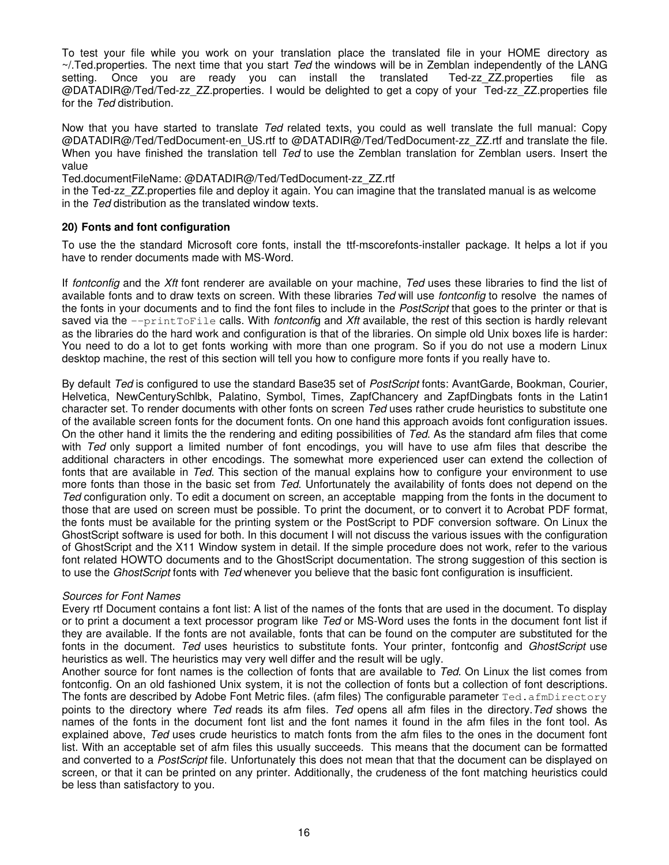<span id="page-15-0"></span>To test your file while you work on your translation place the translated file in your HOME directory as ~/.Ted.properties. The next time that you start *Ted* the windows will be in Zemblan independently of the LANG setting. Once you are ready you can install the translated Ted-zz\_ZZ.properties file as @DATADIR@/Ted/Ted-zz\_ZZ.properties. I would be delighted to get a copy of your Ted-zz\_ZZ.properties file for the *Ted* distribution.

Now that you have started to translate *Ted* related texts, you could as well translate the full manual: Copy @DATADIR@/Ted/TedDocument-en\_US.rtf to @DATADIR@/Ted/TedDocument-zz\_ZZ.rtf and translate the file. When you have finished the translation tell *Ted* to use the Zemblan translation for Zemblan users. Insert the value

Ted.documentFileName: @DATADIR@/Ted/TedDocument-zz\_ZZ.rtf

in the Ted-zz\_ZZ.properties file and deploy it again. You can imagine that the translated manual is as welcome in the *Ted* distribution as the translated window texts.

#### **20) Fonts and font configuration**

To use the the standard Microsoft core fonts, install the ttf-mscorefonts-installer package. It helps a lot if you have to render documents made with MS-Word.

If *fontconfig* and the *Xft* font renderer are available on your machine, *Ted* uses these libraries to find the list of available fonts and to draw texts on screen. With these libraries *Ted* will use *fontconfig* to resolve the names of the fonts in your documents and to find the font files to include in the *PostScript* that goes to the printer or that is saved via the --printToFile calls. With *fontconfi*g and *Xft* available, the rest of this section is hardly relevant as the libraries do the hard work and configuration is that of the libraries. On simple old Unix boxes life is harder: You need to do a lot to get fonts working with more than one program. So if you do not use a modern Linux desktop machine, the rest of this section will tell you how to configure more fonts if you really have to.

By default *Ted* is configured to use the standard Base35 set of *PostScript* fonts: AvantGarde, Bookman, Courier, Helvetica, NewCenturySchlbk, Palatino, Symbol, Times, ZapfChancery and ZapfDingbats fonts in the Latin1 character set. To render documents with other fonts on screen *Ted* uses rather crude heuristics to substitute one of the available screen fonts for the document fonts. On one hand this approach avoids font configuration issues. On the other hand it limits the the rendering and editing possibilities of *Ted*. As the standard afm files that come with *Ted* only support a limited number of font encodings, you will have to use afm files that describe the additional characters in other encodings. The somewhat more experienced user can extend the collection of fonts that are available in *Ted*. This section of the manual explains how to configure your environment to use more fonts than those in the basic set from *Ted*. Unfortunately the availability of fonts does not depend on the *Ted* configuration only. To edit a document on screen, an acceptable mapping from the fonts in the document to those that are used on screen must be possible. To print the document, or to convert it to Acrobat PDF format, the fonts must be available for the printing system or the PostScript to PDF conversion software. On Linux the GhostScript software is used for both. In this document I will not discuss the various issues with the configuration of GhostScript and the X11 Window system in detail. If the simple procedure does not work, refer to the various font related HOWTO documents and to the GhostScript documentation. The strong suggestion of this section is to use the *GhostScript* fonts with *Ted* whenever you believe that the basic font configuration is insufficient.

#### *Sources for Font Names*

Every rtf Document contains a font list: A list of the names of the fonts that are used in the document. To display or to print a document a text processor program like *Ted* or MS-Word uses the fonts in the document font list if they are available. If the fonts are not available, fonts that can be found on the computer are substituted for the fonts in the document. *Ted* uses heuristics to substitute fonts. Your printer, fontconfig and *GhostScript* use heuristics as well. The heuristics may very well differ and the result will be ugly.

Another source for font names is the collection of fonts that are available to *Ted*. On Linux the list comes from fontconfig. On an old fashioned Unix system, it is not the collection of fonts but a collection of font descriptions. The fonts are described by Adobe Font Metric files. (afm files) The configurable parameter Ted.afmDirectory points to the directory where *Ted* reads its afm files. *Ted* opens all afm files in the directory.*Ted* shows the names of the fonts in the document font list and the font names it found in the afm files in the font tool. As explained above, *Ted* uses crude heuristics to match fonts from the afm files to the ones in the document font list. With an acceptable set of afm files this usually succeeds. This means that the document can be formatted and converted to a *PostScript* file. Unfortunately this does not mean that that the document can be displayed on screen, or that it can be printed on any printer. Additionally, the crudeness of the font matching heuristics could be less than satisfactory to you.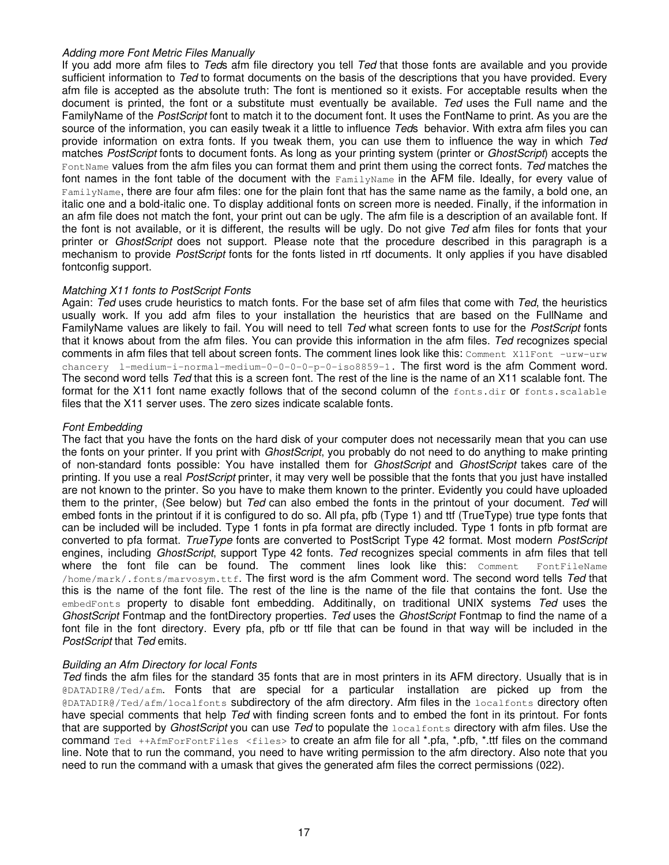#### *Adding more Font Metric Files Manually*

If you add more afm files to *Ted*s afm file directory you tell *Ted* that those fonts are available and you provide sufficient information to *Ted* to format documents on the basis of the descriptions that you have provided. Every afm file is accepted as the absolute truth: The font is mentioned so it exists. For acceptable results when the document is printed, the font or a substitute must eventually be available. *Ted* uses the Full name and the FamilyName of the *PostScript* font to match it to the document font. It uses the FontName to print. As you are the source of the information, you can easily tweak it a little to influence *Ted*s behavior. With extra afm files you can provide information on extra fonts. If you tweak them, you can use them to influence the way in which *Ted* matches *PostScript* fonts to document fonts. As long as your printing system (printer or *GhostScript*) accepts the FontName values from the afm files you can format them and print them using the correct fonts. *Ted* matches the font names in the font table of the document with the FamilyName in the AFM file. Ideally, for every value of FamilyName, there are four afm files: one for the plain font that has the same name as the family, a bold one, an italic one and a bold-italic one. To display additional fonts on screen more is needed. Finally, if the information in an afm file does not match the font, your print out can be ugly. The afm file is a description of an available font. If the font is not available, or it is different, the results will be ugly. Do not give *Ted* afm files for fonts that your printer or *GhostScript* does not support. Please note that the procedure described in this paragraph is a mechanism to provide *PostScript* fonts for the fonts listed in rtf documents. It only applies if you have disabled fontconfig support.

#### *Matching X11 fonts to PostScript Fonts*

Again: *Ted* uses crude heuristics to match fonts. For the base set of afm files that come with *Ted*, the heuristics usually work. If you add afm files to your installation the heuristics that are based on the FullName and FamilyName values are likely to fail. You will need to tell *Ted* what screen fonts to use for the *PostScript* fonts that it knows about from the afm files. You can provide this information in the afm files. *Ted* recognizes special comments in afm files that tell about screen fonts. The comment lines look like this: Comment X11Font -urw-urw chancery l-medium-i-normal-medium-0-0-0-0-p-0-iso8859-1. The first word is the afm Comment word. The second word tells *Ted* that this is a screen font. The rest of the line is the name of an X11 scalable font. The format for the X11 font name exactly follows that of the second column of the fonts.dir or fonts.scalable files that the X11 server uses. The zero sizes indicate scalable fonts.

# *Font Embedding*

The fact that you have the fonts on the hard disk of your computer does not necessarily mean that you can use the fonts on your printer. If you print with *GhostScript*, you probably do not need to do anything to make printing of non-standard fonts possible: You have installed them for *GhostScript* and *GhostScript* takes care of the printing. If you use a real *PostScript* printer, it may very well be possible that the fonts that you just have installed are not known to the printer. So you have to make them known to the printer. Evidently you could have uploaded them to the printer, (See below) but *Ted* can also embed the fonts in the printout of your document. *Ted* will embed fonts in the printout if it is configured to do so. All pfa, pfb (Type 1) and ttf (TrueType) true type fonts that can be included will be included. Type 1 fonts in pfa format are directly included. Type 1 fonts in pfb format are converted to pfa format. *TrueType* fonts are converted to PostScript Type 42 format. Most modern *PostScript* engines, including *GhostScript*, support Type 42 fonts. *Ted* recognizes special comments in afm files that tell where the font file can be found. The comment lines look like this: Comment FontFileName /home/mark/.fonts/marvosym.ttf. The first word is the afm Comment word. The second word tells *Ted* that this is the name of the font file. The rest of the line is the name of the file that contains the font. Use the embedFonts property to disable font embedding. Additinally, on traditional UNIX systems *Ted* uses the *GhostScript* Fontmap and the fontDirectory properties. *Ted* uses the *GhostScript* Fontmap to find the name of a font file in the font directory. Every pfa, pfb or ttf file that can be found in that way will be included in the *PostScript* that *Ted* emits.

# *Building an Afm Directory for local Fonts*

*Ted* finds the afm files for the standard 35 fonts that are in most printers in its AFM directory. Usually that is in @DATADIR@/Ted/afm. Fonts that are special for a particular installation are picked up from the @DATADIR@/Ted/afm/localfonts subdirectory of the afm directory. Afm files in the localfonts directory often have special comments that help *Ted* with finding screen fonts and to embed the font in its printout. For fonts that are supported by *GhostScript* you can use *Ted* to populate the localfonts directory with afm files. Use the command Ted ++AfmForFontFiles <files> to create an afm file for all \*.pfa, \*.pfb, \*.ttf files on the command line. Note that to run the command, you need to have writing permission to the afm directory. Also note that you need to run the command with a umask that gives the generated afm files the correct permissions (022).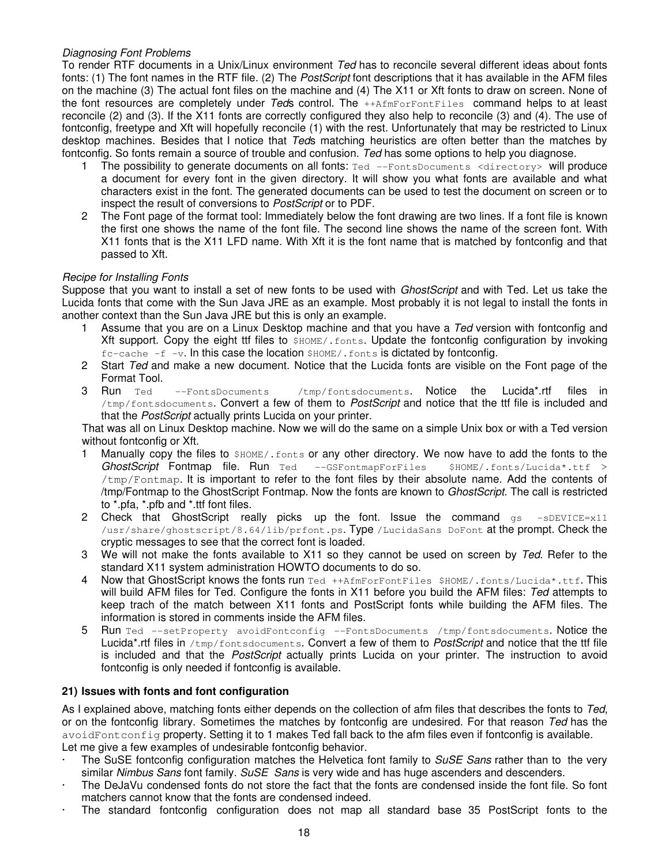# <span id="page-17-0"></span>*Diagnosing Font Problems*

To render RTF documents in a Unix/Linux environment *Ted* has to reconcile several different ideas about fonts fonts: (1) The font names in the RTF file. (2) The *PostScript* font descriptions that it has available in the AFM files on the machine (3) The actual font files on the machine and (4) The X11 or Xft fonts to draw on screen. None of the font resources are completely under *Ted*s control. The ++AfmForFontFiles command helps to at least reconcile (2) and (3). If the X11 fonts are correctly configured they also help to reconcile (3) and (4). The use of fontconfig, freetype and Xft will hopefully reconcile (1) with the rest. Unfortunately that may be restricted to Linux desktop machines. Besides that I notice that *Ted*s matching heuristics are often better than the matches by fontconfig. So fonts remain a source of trouble and confusion. *Ted* has some options to help you diagnose.

- 1 The possibility to generate documents on all fonts: Ted --FontsDocuments <directory> will produce a document for every font in the given directory. It will show you what fonts are available and what characters exist in the font. The generated documents can be used to test the document on screen or to inspect the result of conversions to *PostScript* or to PDF.
- 2 The Font page of the format tool: Immediately below the font drawing are two lines. If a font file is known the first one shows the name of the font file. The second line shows the name of the screen font. With X11 fonts that is the X11 LFD name. With Xft it is the font name that is matched by fontconfig and that passed to Xft.

# *Recipe for Installing Fonts*

Suppose that you want to install a set of new fonts to be used with *GhostScript* and with Ted. Let us take the Lucida fonts that come with the Sun Java JRE as an example. Most probably it is not legal to install the fonts in another context than the Sun Java JRE but this is only an example.

- 1 Assume that you are on a Linux Desktop machine and that you have a *Ted* version with fontconfig and Xft support. Copy the eight ttf files to  $$HOME/.fonts$ . Update the fontconfig configuration by invoking  $fc$ -cache  $-f$  -v. In this case the location  $$HOME/$ . fonts is dictated by fontconfig.
- 2 Start *Ted* and make a new document. Notice that the Lucida fonts are visible on the Font page of the Format Tool.
- 3 Run Ted --FontsDocuments /tmp/fontsdocuments. Notice the Lucida\*.rtf files in /tmp/fontsdocuments. Convert a few of them to *PostScript* and notice that the ttf file is included and that the *PostScript* actually prints Lucida on your printer.

That was all on Linux Desktop machine. Now we will do the same on a simple Unix box or with a Ted version without fontconfig or Xft.

- 1 Manually copy the files to \$HOME/. fonts or any other directory. We now have to add the fonts to the *GhostScript* Fontmap file. Run Ted --GSFontmapForFiles \$HOME/.fonts/Lucida\*.ttf > /tmp/Fontmap. It is important to refer to the font files by their absolute name. Add the contents of /tmp/Fontmap to the GhostScript Fontmap. Now the fonts are known to *GhostScript*. The call is restricted to \*.pfa, \*.pfb and \*.ttf font files.
- 2 Check that GhostScript really picks up the font. Issue the command  $q_s = sDEVICE = x11$ /usr/share/ghostscript/8.64/lib/prfont.ps. Type /LucidaSans DoFont at the prompt. Check the cryptic messages to see that the correct font is loaded.
- 3 We will not make the fonts available to X11 so they cannot be used on screen by *Ted*. Refer to the standard X11 system administration HOWTO documents to do so.
- 4 Now that GhostScript knows the fonts run Ted ++AfmForFontFiles \$HOME/.fonts/Lucida\*.ttf. This will build AFM files for Ted. Configure the fonts in X11 before you build the AFM files: *Ted* attempts to keep trach of the match between X11 fonts and PostScript fonts while building the AFM files. The information is stored in comments inside the AFM files.
- 5 Run Ted --setProperty avoidFontconfig --FontsDocuments /tmp/fontsdocuments. Notice the Lucida\*.rtf files in /tmp/fontsdocuments. Convert a few of them to *PostScript* and notice that the ttf file is included and that the *PostScript* actually prints Lucida on your printer. The instruction to avoid fontconfig is only needed if fontconfig is available.

# **21) Issues with fonts and font configuration**

As I explained above, matching fonts either depends on the collection of afm files that describes the fonts to *Ted*, or on the fontconfig library. Sometimes the matches by fontconfig are undesired. For that reason *Ted* has the avoidFontconfig property. Setting it to 1 makes Ted fall back to the afm files even if fontconfig is available. Let me give a few examples of undesirable fontconfig behavior.

- · The SuSE fontconfig configuration matches the Helvetica font family to *SuSE Sans* rather than to the very similar *Nimbus Sans* font family. *SuSE Sans* is very wide and has huge ascenders and descenders.
- The DeJaVu condensed fonts do not store the fact that the fonts are condensed inside the font file. So font matchers cannot know that the fonts are condensed indeed.
- The standard fontconfig configuration does not map all standard base 35 PostScript fonts to the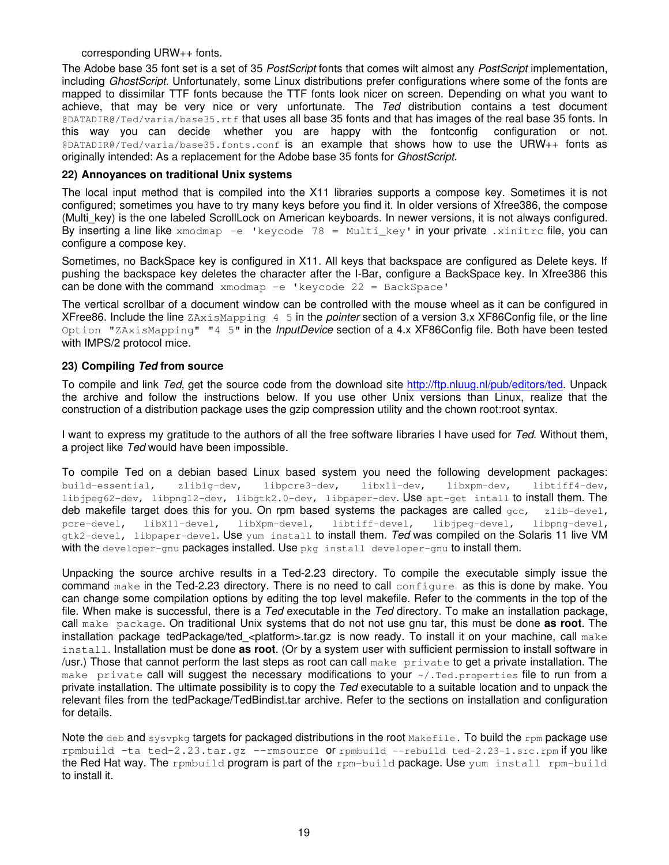#### corresponding URW++ fonts.

<span id="page-18-0"></span>The Adobe base 35 font set is a set of 35 *PostScript* fonts that comes wilt almost any *PostScript* implementation, including *GhostScript*. Unfortunately, some Linux distributions prefer configurations where some of the fonts are mapped to dissimilar TTF fonts because the TTF fonts look nicer on screen. Depending on what you want to achieve, that may be very nice or very unfortunate. The *Ted* distribution contains a test document @DATADIR@/Ted/varia/base35.rtf that uses all base 35 fonts and that has images of the real base 35 fonts. In this way you can decide whether you are happy with the fontconfig configuration or not. @DATADIR@/Ted/varia/base35.fonts.conf is an example that shows how to use the URW++ fonts as originally intended: As a replacement for the Adobe base 35 fonts for *GhostScript*.

#### **22) Annoyances on traditional Unix systems**

The local input method that is compiled into the X11 libraries supports a compose key. Sometimes it is not configured; sometimes you have to try many keys before you find it. In older versions of Xfree386, the compose (Multi key) is the one labeled ScrollLock on American keyboards. In newer versions, it is not always configured. By inserting a line like  $x$ modmap -e 'keycode 78 = Multi key' in your private .xinitrc file, you can configure a compose key.

Sometimes, no BackSpace key is configured in X11. All keys that backspace are configured as Delete keys. If pushing the backspace key deletes the character after the I-Bar, configure a BackSpace key. In Xfree386 this can be done with the command  $x \mod m$  -e 'keycode 22 = BackSpace'

The vertical scrollbar of a document window can be controlled with the mouse wheel as it can be configured in XFree86. Include the line ZAxisMapping 4 5 in the *pointer* section of a version 3.x XF86Config file, or the line Option "ZAxisMapping" "4 5" in the *InputDevice* section of a 4.x XF86Config file. Both have been tested with IMPS/2 protocol mice.

#### **23) Compiling** *Ted* **from source**

To compile and link *Ted*, get the source code from the download site <http://ftp.nluug.nl/pub/editors/ted>. Unpack the archive and follow the instructions below. If you use other Unix versions than Linux, realize that the construction of a distribution package uses the gzip compression utility and the chown root:root syntax.

I want to express my gratitude to the authors of all the free software libraries I have used for *Ted*. Without them, a project like *Ted* would have been impossible.

To compile Ted on a debian based Linux based system you need the following development packages: build-essential, zlib1g-dev, libpcre3-dev, libx11-dev, libxpm-dev, libtiff4-dev, libjpeg62-dev, libpng12-dev, libgtk2.0-dev, libpaper-dev. Use apt-get intall to install them. The deb makefile target does this for you. On rpm based systems the packages are called  $qcc$ , zlib-devel, pcre-devel, libX11-devel, libXpm-devel, libtiff-devel, libjpeg-devel, libpng-devel, gtk2-devel, libpaper-devel. Use yum install to install them. *Ted* was compiled on the Solaris 11 live VM with the developer-gnu packages installed. Use pkg install developer-gnu to install them.

Unpacking the source archive results in a Ted-2.23 directory. To compile the executable simply issue the command make in the Ted-2.23 directory. There is no need to call configure as this is done by make. You can change some compilation options by editing the top level makefile. Refer to the comments in the top of the file. When make is successful, there is a *Ted* executable in the *Ted* directory. To make an installation package, call make package. On traditional Unix systems that do not not use gnu tar, this must be done **as root**. The installation package tedPackage/ted <platform>.tar.gz is now ready. To install it on your machine, call make install. Installation must be done **as root**. (Or by a system user with sufficient permission to install software in /usr.) Those that cannot perform the last steps as root can call make private to get a private installation. The make private call will suggest the necessary modifications to your  $\alpha/$ . Ted. properties file to run from a private installation. The ultimate possibility is to copy the *Ted* executable to a suitable location and to unpack the relevant files from the tedPackage/TedBindist.tar archive. Refer to the sections on installation and configuration for details.

Note the deb and sysypkg targets for packaged distributions in the root Makefile. To build the rpm package use rpmbuild  $-ta ted-2.23.tar.gz$  --rmsource Or rpmbuild --rebuild  $ted-2.23-1.src.rpm$  if you like the Red Hat way. The rpmbuild program is part of the rpm-build package. Use yum install rpm-build to install it.